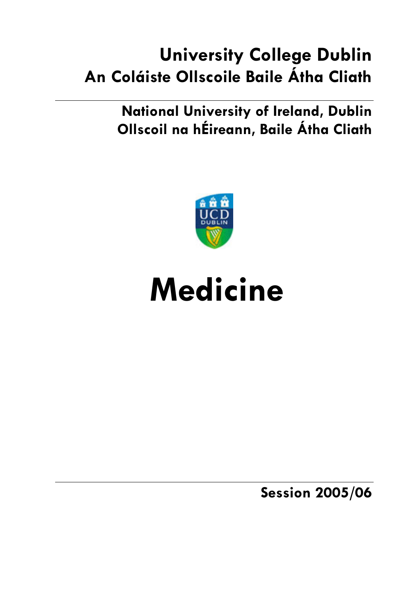# **University College Dublin** An Coláiste Ollscoile Baile Átha Cliath

**National University of Ireland, Dublin** Ollscoil na hÉireann, Baile Átha Cliath



# **Medicine**

**Session 2005/06**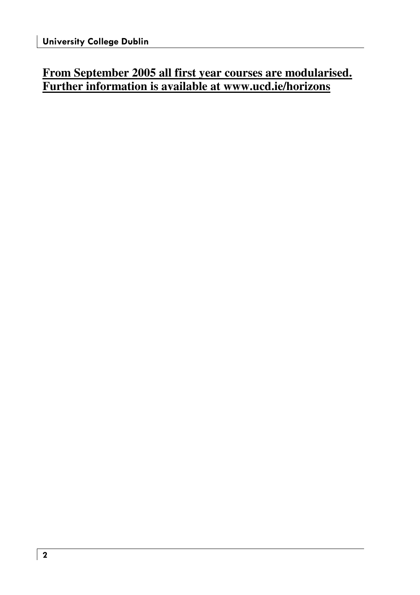### **From September 2005 all first year courses are modularised. Further information is available at www.ucd.ie/horizons**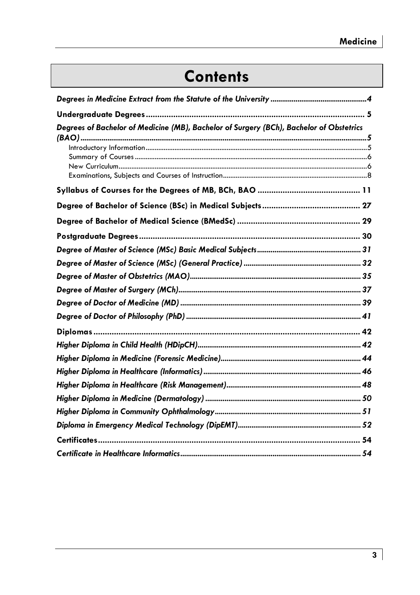# **Contents**

| Degrees of Bachelor of Medicine (MB), Bachelor of Surgery (BCh), Bachelor of Obstetrics |
|-----------------------------------------------------------------------------------------|
|                                                                                         |
|                                                                                         |
|                                                                                         |
|                                                                                         |
|                                                                                         |
|                                                                                         |
|                                                                                         |
|                                                                                         |
|                                                                                         |
|                                                                                         |
|                                                                                         |
|                                                                                         |
|                                                                                         |
|                                                                                         |
|                                                                                         |
|                                                                                         |
|                                                                                         |
|                                                                                         |
|                                                                                         |
|                                                                                         |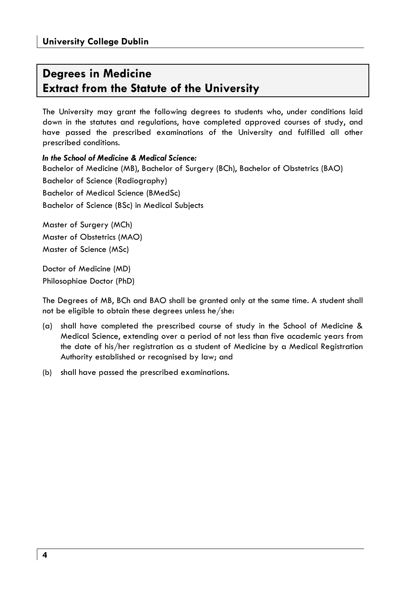### **Dearees in Medicine Extract from the Statute of the University**

The University may grant the following degrees to students who, under conditions laid down in the statutes and regulations, have completed approved courses of study, and have passed the prescribed examinations of the University and fulfilled all other prescribed conditions.

In the School of Medicine & Medical Science: Bachelor of Medicine (MB), Bachelor of Surgery (BCh), Bachelor of Obstetrics (BAO) Bachelor of Science (Radiography) **Bachelor of Medical Science (BMedSc)** Bachelor of Science (BSc) in Medical Subjects

Master of Surgery (MCh) Master of Obstetrics (MAO) Master of Science (MSc)

Doctor of Medicine (MD) Philosophiae Doctor (PhD)

The Degrees of MB, BCh and BAO shall be granted only at the same time. A student shall not be eligible to obtain these degrees unless he/she:

- (a) shall have completed the prescribed course of study in the School of Medicine & Medical Science, extending over a period of not less than five academic years from the date of his/her registration as a student of Medicine by a Medical Registration Authority established or recognised by law; and
- (b) shall have passed the prescribed examinations.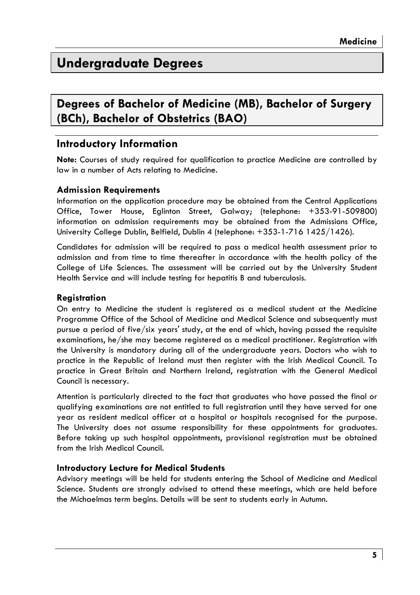### **Underaraduate Dearees**

### Degrees of Bachelor of Medicine (MB), Bachelor of Surgery (BCh), Bachelor of Obstetrics (BAO)

### Introductory Information

Note: Courses of study required for qualification to practice Medicine are controlled by law in a number of Acts relating to Medicine.

### **Admission Reavirements**

Information on the application procedure may be obtained from the Central Applications Office, Tower House, Eglinton Street, Galway; (telephone: +353-91-509800) information on admission requirements may be obtained from the Admissions Office, University College Dublin, Belfield, Dublin 4 (telephone: +353-1-716 1425/1426).

Candidates for admission will be required to pass a medical health assessment prior to admission and from time to time thereafter in accordance with the health policy of the College of Life Sciences. The assessment will be carried out by the University Student Health Service and will include testing for hepatitis B and tuberculosis.

### **Reaistration**

On entry to Medicine the student is reaistered as a medical student at the Medicine Programme Office of the School of Medicine and Medical Science and subsequently must pursue a period of five/six years' study, at the end of which, having passed the requisite examinations, he/she may become registered as a medical practitioner. Registration with the University is mandatory during all of the undergraduate years. Doctors who wish to practice in the Republic of Ireland must then register with the Irish Medical Council. To practice in Great Britain and Northern Ireland, registration with the General Medical Council is necessary.

Attention is particularly directed to the fact that araduates who have passed the final or qualifying examinations are not entitled to full registration until they have served for one year as resident medical officer at a hospital or hospitals recognised for the purpose. The University does not assume responsibility for these appointments for graduates. Before taking up such hospital appointments, provisional registration must be obtained from the Irish Medical Council.

### **Introductory Lecture for Medical Students**

Advisory meetings will be held for students entering the School of Medicine and Medical Science. Students are strongly advised to attend these meetings, which are held before the Michaelmas term begins. Details will be sent to students early in Autumn.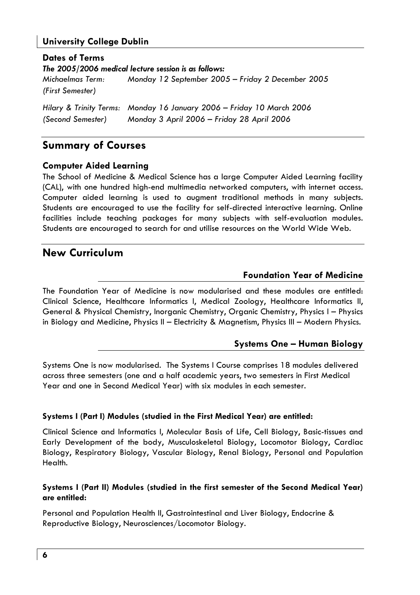### **University College Dublin**

**Dates of Terms** The 2005/2006 medical lecture session is as follows: Michaelmas Term: Monday 12 September 2005 - Friday 2 December 2005 (First Semester) Hilary & Trinity Terms: Monday 16 January 2006 - Friday 10 March 2006

Monday 3 April 2006 - Friday 28 April 2006 (Second Semester)

### **Summary of Courses**

### **Computer Aided Learning**

The School of Medicine & Medical Science has a large Computer Aided Learning facility (CAL), with one hundred high-end multimedia networked computers, with internet access. Computer aided learning is used to augment traditional methods in many subjects. Students are encouraged to use the facility for self-directed interactive learning. Online facilities include teaching packages for many subjects with self-evaluation modules. Students are encouraged to search for and utilise resources on the World Wide Web.

### **New Curriculum**

### **Foundation Year of Medicine**

The Foundation Year of Medicine is now modularised and these modules are entitled: Clinical Science, Healthcare Informatics I, Medical Zoology, Healthcare Informatics II, General & Physical Chemistry, Inorganic Chemistry, Organic Chemistry, Physics I - Physics in Biology and Medicine, Physics II - Electricity & Magnetism, Physics III - Modern Physics.

### **Systems One - Human Biology**

Systems One is now modularised. The Systems I Course comprises 18 modules delivered across three semesters (one and a half academic years, two semesters in First Medical Year and one in Second Medical Year) with six modules in each semester.

### Systems I (Part I) Modules (studied in the First Medical Year) are entitled:

Clinical Science and Informatics I, Molecular Basis of Life, Cell Biology, Basic-tissues and Early Development of the body, Musculoskeletal Biology, Locomotor Biology, Cardiac Biology, Respiratory Biology, Vascular Biology, Renal Biology, Personal and Population Health.

### Systems I (Part II) Modules (studied in the first semester of the Second Medical Year) are entitled:

Personal and Population Health II, Gastrointestinal and Liver Biology, Endocrine & Reproductive Biology, Neurosciences/Locomotor Biology.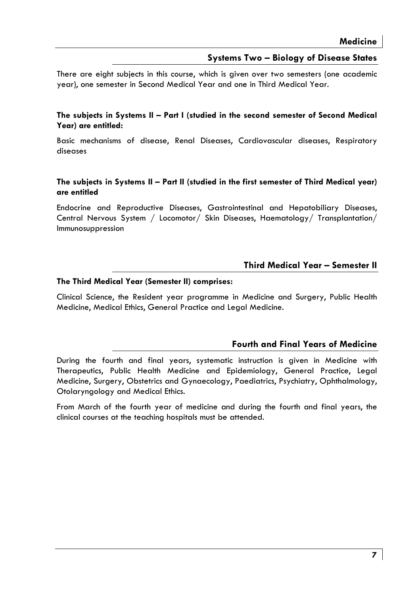### **Systems Two - Biology of Disease States**

There are eight subjects in this course, which is given over two semesters (one academic year), one semester in Second Medical Year and one in Third Medical Year.

#### The subjects in Systems II - Part I (studied in the second semester of Second Medical Year) are entitled:

Basic mechanisms of disease, Renal Diseases, Cardiovascular diseases, Respiratory diseases

### The subjects in Systems II - Part II (studied in the first semester of Third Medical year) are entitled

Endocrine and Reproductive Diseases, Gastrointestinal and Hepatobiliary Diseases, Central Nervous System / Locomotor/ Skin Diseases, Haematology/ Transplantation/ Immunosuppression

### Third Medical Year - Semester II

#### The Third Medical Year (Semester II) comprises:

Clinical Science, the Resident year programme in Medicine and Surgery, Public Health Medicine, Medical Ethics, General Practice and Legal Medicine.

### **Fourth and Final Years of Medicine**

During the fourth and final years, systematic instruction is given in Medicine with Therapeutics, Public Health Medicine and Epidemiology, General Practice, Legal Medicine, Surgery, Obstetrics and Gynaecology, Paediatrics, Psychiatry, Ophthalmology, Otolaryngology and Medical Ethics.

From March of the fourth year of medicine and during the fourth and final years, the clinical courses at the teaching hospitals must be attended.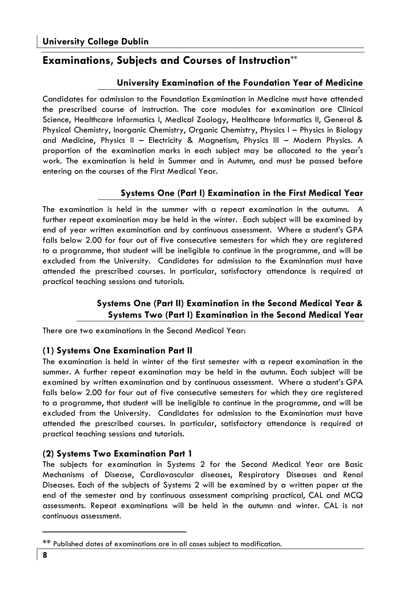### **Examinations, Subjects and Courses of Instruction\*\***

### University Examination of the Foundation Year of Medicine

Candidates for admission to the Foundation Examination in Medicine must have attended the prescribed course of instruction. The core modules for examination are Clinical Science, Healthcare Informatics I, Medical Zoology, Healthcare Informatics II, General & Physical Chemistry, Inorganic Chemistry, Organic Chemistry, Physics I - Physics in Biology and Medicine, Physics II - Electricity & Magnetism, Physics III - Modern Physics. A proportion of the examination marks in each subject may be allocated to the year's work. The examination is held in Summer and in Autumn, and must be passed before entering on the courses of the First Medical Year.

### Systems One (Part I) Examination in the First Medical Year

The examination is held in the summer with a repeat examination in the autumn. A further repeat examination may be held in the winter. Each subject will be examined by end of year written examination and by continuous assessment. Where a student's GPA falls below 2.00 for four out of five consecutive semesters for which they are registered to a programme, that student will be ineligible to continue in the programme, and will be excluded from the University. Candidates for admission to the Examination must have attended the prescribed courses. In particular, satisfactory attendance is required at practical teaching sessions and tutorials.

### Systems One (Part II) Examination in the Second Medical Year & Systems Two (Part I) Examination in the Second Medical Year

There are two examinations in the Second Medical Year:

### (1) Systems One Examination Part II

The examination is held in winter of the first semester with a repeat examination in the summer. A further repeat examination may be held in the autumn. Each subject will be examined by written examination and by continuous assessment. Where a student's GPA falls below 2.00 for four out of five consecutive semesters for which they are registered to a programme, that student will be ineligible to continue in the programme, and will be excluded from the University. Candidates for admission to the Examination must have attended the prescribed courses. In particular, satisfactory attendance is required at practical teaching sessions and tutorials.

### (2) Systems Two Examination Part 1

The subjects for examination in Systems 2 for the Second Medical Year are Basic Mechanisms of Disease, Cardiovascular diseases, Respiratory Diseases and Renal Diseases. Each of the subjects of Systems 2 will be examined by a written paper at the end of the semester and by continuous assessment comprising practical, CAL and MCQ assessments. Repeat examinations will be held in the autumn and winter. CAL is not continuous assessment.

<sup>\*\*</sup> Published dates of examinations are in all cases subject to modification.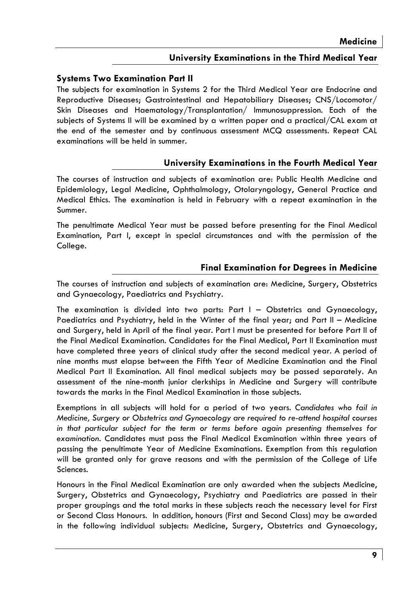### University Examinations in the Third Medical Year

### **Systems Two Examination Part II**

The subjects for examination in Systems 2 for the Third Medical Year are Endocrine and Reproductive Diseases; Gastrointestinal and Hepatobiliary Diseases; CNS/Locomotor/ Skin Diseases and Haematology/Transplantation/ Immunosuppression. Each of the subjects of Systems II will be examined by a written paper and a practical/CAL exam at the end of the semester and by continuous assessment MCQ assessments. Repeat CAL examinations will be held in summer.

### University Examinations in the Fourth Medical Year

The courses of instruction and subiects of examination are: Public Health Medicine and Epidemiology, Legal Medicine, Ophthalmology, Otolaryngology, General Practice and Medical Ethics. The examination is held in February with a repeat examination in the Summer.

The penultimate Medical Year must be passed before presenting for the Final Medical Examination, Part I, except in special circumstances and with the permission of the College.

### **Final Examination for Degrees in Medicine**

The courses of instruction and subjects of examination are: Medicine, Surgery, Obstetrics and Gynaecology, Paediatrics and Psychiatry.

The examination is divided into two parts: Part I - Obstetrics and Gynaecology, Paediatrics and Psychiatry, held in the Winter of the final year; and Part II - Medicine and Surgery, held in April of the final year. Part I must be presented for before Part II of the Final Medical Examination. Candidates for the Final Medical, Part II Examination must have completed three years of clinical study after the second medical year. A period of nine months must elapse between the Fifth Year of Medicine Examination and the Final Medical Part II Examination. All final medical subjects may be passed separately. An assessment of the nine-month junior clerkships in Medicine and Surgery will contribute towards the marks in the Final Medical Examination in those subjects.

Exemptions in all subjects will hold for a period of two years. Candidates who fail in Medicine, Surgery or Obstetrics and Gynaecology are required to re-attend hospital courses in that particular subject for the term or terms before again presenting themselves for examination. Candidates must pass the Final Medical Examination within three years of passing the penultimate Year of Medicine Examinations. Exemption from this regulation will be granted only for grave reasons and with the permission of the College of Life Sciences.

Honours in the Final Medical Examination are only awarded when the subjects Medicine, Surgery, Obstetrics and Gynaecology, Psychiatry and Paediatrics are passed in their proper groupings and the total marks in these subjects reach the necessary level for First or Second Class Honours. In addition, honours (First and Second Class) may be awarded in the following individual subjects: Medicine, Surgery, Obstetrics and Gynaecology,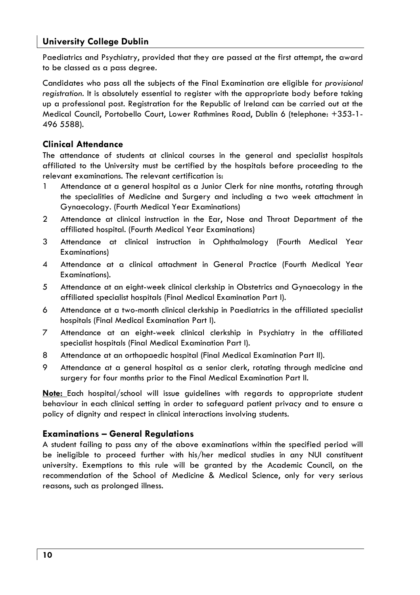### **University College Dublin**

Paediatrics and Psychiatry, provided that they are passed at the first attempt, the award to be classed as a pass degree.

Candidates who pass all the subjects of the Final Examination are eligible for provisional registration. It is absolutely essential to register with the appropriate body before taking up a professional post. Registration for the Republic of Ireland can be carried out at the Medical Council, Portobello Court, Lower Rathmines Road, Dublin 6 (telephone: +353-1-496 5588).

### **Clinical Attendance**

The attendance of students at clinical courses in the general and specialist hospitals affiliated to the University must be certified by the hospitals before proceeding to the relevant examinations. The relevant certification is:

- 1 Attendance at a general hospital as a Junior Clerk for nine months, rotating through the specialities of Medicine and Surgery and including a two week attachment in Gynaecology. (Fourth Medical Year Examinations)
- Attendance at clinical instruction in the Ear, Nose and Throat Department of the  $\overline{2}$ affiliated hospital. (Fourth Medical Year Examinations)
- $\overline{3}$ Attendance at clinical instruction in Ophthalmology (Fourth Medical Year Examinations)
- $\overline{4}$ Attendance at a clinical attachment in General Practice (Fourth Medical Year Examinations).
- 5 Attendance at an eight-week clinical clerkship in Obstetrics and Gynaecology in the affiliated specialist hospitals (Final Medical Examination Part I).
- 6 Attendance at a two-month clinical clerkship in Paediatrics in the affiliated specialist hospitals (Final Medical Examination Part I).
- $\overline{7}$ Attendance at an eight-week clinical clerkship in Psychiatry in the affiliated specialist hospitals (Final Medical Examination Part I).
- Attendance at an orthopaedic hospital (Final Medical Examination Part II). 8
- 9 Attendance at a general hospital as a senior clerk, rotating through medicine and surgery for four months prior to the Final Medical Examination Part II.

Note: Each hospital/school will issue quidelines with regards to appropriate student behaviour in each clinical setting in order to safequard patient privacy and to ensure a policy of dignity and respect in clinical interactions involving students.

### **Examinations - General Regulations**

A student failing to pass any of the above examinations within the specified period will be ineligible to proceed further with his/her medical studies in any NUI constituent university. Exemptions to this rule will be granted by the Academic Council, on the recommendation of the School of Medicine & Medical Science, only for very serious reasons, such as prolonged illness.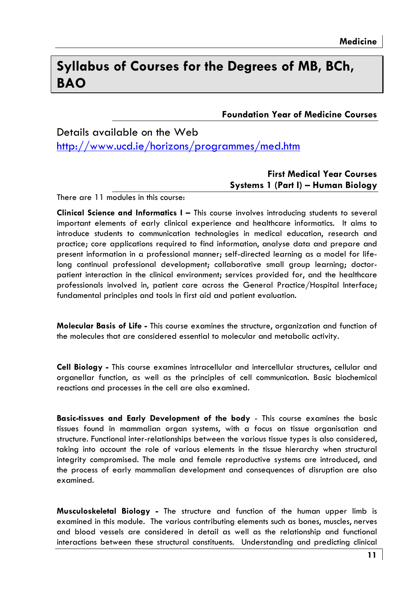### Syllabus of Courses for the Dearees of MB, BCh, **BAO**

**Foundation Year of Medicine Courses** 

### Details available on the Web

http://www.ucd.ie/horizons/programmes/med.htm

### **First Medical Year Courses** Systems 1 (Part I) - Human Bioloav

There are 11 modules in this course.

Clinical Science and Informatics I - This course involves introducing students to several important elements of early clinical experience and healthcare informatics. It aims to introduce students to communication technologies in medical education, research and practice; core applications required to find information, analyse data and prepare and present information in a professional manner; self-directed learning as a model for lifelong continual professional development; collaborative small group learning; doctorpatient interaction in the clinical environment; services provided for, and the healthcare professionals involved in, patient care across the General Practice/Hospital Interface; fundamental principles and tools in first aid and patient evaluation.

Molecular Basis of Life - This course examines the structure, organization and function of the molecules that are considered essential to molecular and metabolic activity.

Cell Biology - This course examines intracellular and intercellular structures, cellular and organellar function, as well as the principles of cell communication. Basic biochemical reactions and processes in the cell are also examined.

Basic-tissues and Early Development of the body - This course examines the basic tissues found in mammalian organ systems, with a focus on tissue organisation and structure. Functional inter-relationships between the various tissue types is also considered, taking into account the role of various elements in the tissue hierarchy when structural integrity compromised. The male and female reproductive systems are introduced, and the process of early mammalian development and consequences of disruption are also examined.

Musculoskeletal Biology - The structure and function of the human upper limb is examined in this module. The various contributing elements such as bones, muscles, nerves and blood vessels are considered in detail as well as the relationship and functional interactions between these structural constituents. Understanding and predicting clinical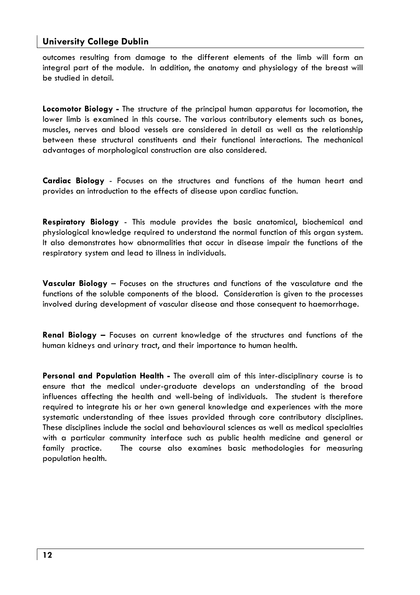### **University College Dublin**

outcomes resulting from damage to the different elements of the limb will form an integral part of the module. In addition, the anatomy and physiology of the breast will he studied in detail.

Locomotor Biology - The structure of the principal human apparatus for locomotion, the lower limb is examined in this course. The various contributory elements such as bones, muscles, nerves and blood vessels are considered in detail as well as the relationship between these structural constituents and their functional interactions. The mechanical advantages of morphological construction are also considered.

Cardiac Biology - Focuses on the structures and functions of the human heart and provides an introduction to the effects of disease upon cardiac function.

Respiratory Biology - This module provides the basic anatomical, biochemical and physiological knowledge required to understand the normal function of this organ system. It also demonstrates how abnormalities that occur in disease impair the functions of the respiratory system and lead to illness in individuals.

Vascular Biology - Focuses on the structures and functions of the vasculature and the functions of the soluble components of the blood. Consideration is given to the processes involved during development of vascular disease and those consequent to haemorrhage.

**Renal Biology -** Focuses on current knowledge of the structures and functions of the human kidneys and urinary tract, and their importance to human health.

Personal and Population Health - The overall aim of this inter-disciplinary course is to ensure that the medical under-graduate develops an understanding of the broad influences affecting the health and well-being of individuals. The student is therefore required to integrate his or her own general knowledge and experiences with the more systematic understanding of thee issues provided through core contributory disciplines. These disciplines include the social and behavioural sciences as well as medical specialties with a particular community interface such as public health medicine and general or family practice. The course also examines basic methodologies for measuring population health.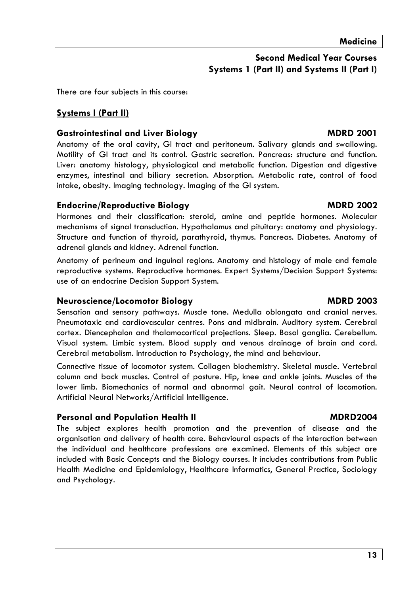There are four subjects in this course:

### **Systems I (Part II)**

### **Gastrointestinal and Liver Biology**

Anatomy of the oral cavity, GI tract and peritoneum. Salivary glands and swallowing. Motility of GI tract and its control. Gastric secretion. Pancreas: structure and function. Liver: anatomy histology, physiological and metabolic function. Digestion and digestive enzymes, intestingl and biliary secretion. Absorption. Metabolic rate, control of food intake, obesity. Imaging technology. Imaging of the GI system.

### **Endocrine/Reproductive Biology**

Hormones and their classification: steroid, amine and peptide hormones. Molecular mechanisms of signal transduction. Hypothalamus and pituitary: anatomy and physiology. Structure and function of thyroid, parathyroid, thymus. Pancreas. Diabetes. Anatomy of adrenal glands and kidney. Adrenal function.

Anatomy of perineum and inquinal regions. Anatomy and histology of male and female reproductive systems. Reproductive hormones. Expert Systems/Decision Support Systems: use of an endocrine Decision Support System.

### Neuroscience/Locomotor Biology

Sensation and sensory pathways. Muscle tone. Medulla oblongata and cranial nerves. Pneumotaxic and cardiovascular centres. Pons and midbrain. Auditory system. Cerebral cortex. Diencephalon and thalamocortical projections. Sleep. Basal ganglia. Cerebellum. Visual system. Limbic system. Blood supply and venous drainage of brain and cord. Cerebral metabolism. Introduction to Psychology, the mind and behaviour.

Connective tissue of locomotor system. Collagen biochemistry. Skeletal muscle. Vertebral column and back muscles. Control of posture. Hip, knee and ankle joints. Muscles of the lower limb. Biomechanics of normal and abnormal gait. Neural control of locomotion. Artificial Neural Networks/Artificial Intelligence.

### **Personal and Population Health II**

The subject explores health promotion and the prevention of disease and the organisation and delivery of health care. Behavioural aspects of the interaction between the individual and healthcare professions are examined. Elements of this subject are included with Basic Concepts and the Biology courses. It includes contributions from Public Health Medicine and Epidemiology, Healthcare Informatics, General Practice, Sociology and Psychology.

**MDRD 2002** 

**MDRD 2001** 

### **MDRD 2003**

### **MDRD2004**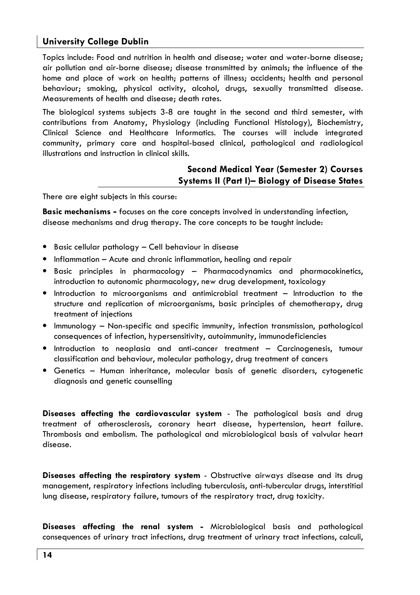### **University College Dublin**

Topics include: Food and nutrition in health and disease: water and water-borne disease: air pollution and air-borne disease; disease transmitted by animals; the influence of the home and place of work on health; patterns of illness; accidents; health and personal behaviour; smoking, physical activity, alcohol, drugs, sexually transmitted disease. Measurements of health and disease: death rates,

The biological systems subjects 3-8 are taught in the second and third semester, with contributions from Anatomy, Physiology (including Functional Histology), Biochemistry, Clinical Science and Healthcare Informatics. The courses will include integrated community, primary care and hospital-based clinical, pathological and radiological illustrations and instruction in clinical skills.

### **Second Medical Year (Semester 2) Courses** Systems II (Part I)- Biology of Disease States

There are eight subjects in this course:

**Basic mechanisms -** focuses on the core concepts involved in understanding infection, disease mechanisms and drug therapy. The core concepts to be taught include:

- · Basic cellular pathology Cell behaviour in disease
- Inflammation Acute and chronic inflammation, healing and repair
- · Basic principles in pharmacology Pharmacodynamics and pharmacokinetics, introduction to autonomic pharmacology, new drug development, toxicology
- Introduction to microorganisms and antimicrobial treatment Introduction to the structure and replication of microorganisms, basic principles of chemotherapy, drug treatment of injections
- Immunology Non-specific and specific immunity, infection transmission, pathological consequences of infection, hypersensitivity, autoimmunity, immunodeficiencies
- · Introduction to neoplasia and anti-cancer treatment Carcinogenesis, tumour classification and behaviour, molecular pathology, drug treatment of cancers
- Genetics Human inheritance, molecular basis of genetic disorders, cytogenetic diagnosis and genetic counselling

Diseases affecting the cardiovascular system - The pathological basis and drug treatment of atherosclerosis, coronary heart disease, hypertension, heart failure. Thrombosis and embolism. The pathological and microbiological basis of valvular heart disease.

Diseases affecting the respiratory system - Obstructive airways disease and its drug management, respiratory infections including tuberculosis, anti-tubercular drugs, interstitial lung disease, respiratory failure, tumours of the respiratory tract, drug toxicity.

Diseases affecting the renal system - Microbiological basis and pathological consequences of urinary tract infections, drug treatment of urinary tract infections, calculi,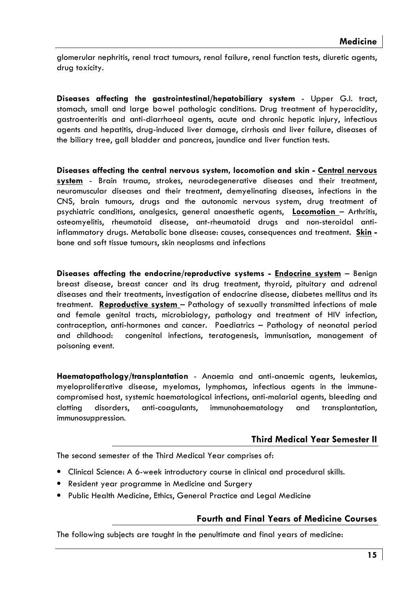alomerular nephritis, renal tract tumours, renal failure, renal function tests, diuretic agents, drug toxicity.

Diseases affecting the gastrointestinal/hepatobiliary system - Upper G.I. tract, stomach, small and large bowel pathologic conditions. Drug treatment of hyperacidity, gastroenteritis and anti-diarrhoeal agents, acute and chronic hepatic injury, infectious agents and hepatitis, drug-induced liver damage, cirrhosis and liver failure, diseases of the biliary tree, gall bladder and pancreas, jaundice and liver function tests.

Diseases affecting the central nervous system, locomotion and skin - Central nervous system - Brain trauma, strokes, neurodegenerative diseases and their treatment, neuromuscular diseases and their treatment, demyelinating diseases, infections in the CNS, brain tumours, druas and the autonomic nervous system, drua treatment of psychiatric conditions, analgesics, general anaesthetic agents, Locomotion - Arthritis, osteomyelitis, rheumatoid disease, ant-rheumatoid drugs and non-steroidal antiinflammatory drugs. Metabolic bone disease: causes, consequences and treatment. Skin bone and soft tissue tumours, skin neoplasms and infections

Diseases affecting the endocrine/reproductive systems - **Endocrine system** - Benign breast disease, breast cancer and its drug treatment, thyroid, pituitary and adrenal diseases and their treatments, investigation of endocrine disease, diabetes mellitus and its treatment. Reproductive system - Pathology of sexually transmitted infections of male and female genital tracts, microbiology, pathology and treatment of HIV infection, contraception, anti-hormones and cancer. Paediatrics - Pathology of neonatal period and childhood: congenital infections, teratogenesis, immunisation, management of poisoning event.

Haematopathology/transplantation - Anaemia and anti-anaemic agents, leukemias, myeloproliferative disease, myelomas, lymphomas, infectious agents in the immunecompromised host, systemic haematological infections, anti-malarial agents, bleeding and clottina disorders, anti-coagulants, immunohaematology and transplantation, immunosuppression.

### **Third Medical Year Semester II**

The second semester of the Third Medical Year comprises of:

- Clinical Science: A 6-week introductory course in clinical and procedural skills.
- Resident year programme in Medicine and Surgery
- Public Health Medicine, Ethics, General Practice and Legal Medicine

### **Fourth and Final Years of Medicine Courses**

The following subjects are taught in the penultimate and final years of medicine: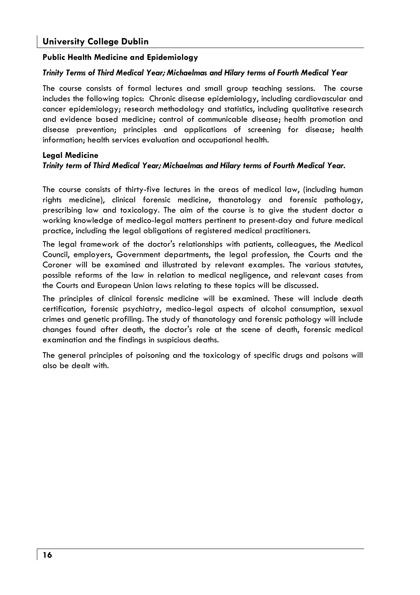### **Public Health Medicine and Epidemiology**

#### Trinity Terms of Third Medical Year; Michaelmas and Hilary terms of Fourth Medical Year

The course consists of formal lectures and small aroup teaching sessions. The course includes the following topics: Chronic disease epidemiology, including cardiovascular and cancer epidemiology; research methodology and statistics, including qualitative research and evidence based medicine; control of communicable disease; health promotion and disease prevention: principles and applications of screening for disease: health information; health services evaluation and occupational health.

#### **Legal Medicine**

#### Trinity term of Third Medical Year; Michaelmas and Hilary terms of Fourth Medical Year.

The course consists of thirty-five lectures in the areas of medical law, (including human rights medicine), clinical forensic medicine, thanatology and forensic pathology, prescribing law and toxicology. The aim of the course is to give the student doctor a working knowledge of medico-legal matters pertinent to present-day and future medical practice, including the legal obligations of registered medical practitioners.

The legal framework of the doctor's relationships with patients, colleagues, the Medical Council, employers, Government departments, the legal profession, the Courts and the Coroner will be examined and illustrated by relevant examples. The various statutes, possible reforms of the law in relation to medical nealiaence, and relevant cases from the Courts and European Union laws relating to these topics will be discussed.

The principles of clinical forensic medicine will be examined. These will include death certification, forensic psychiatry, medico-legal aspects of alcohol consumption, sexual crimes and genetic profiling. The study of thanatology and forensic pathology will include changes found after death, the doctor's role at the scene of death, forensic medical examination and the findings in suspicious deaths.

The general principles of poisoning and the toxicology of specific drugs and poisons will also be dealt with.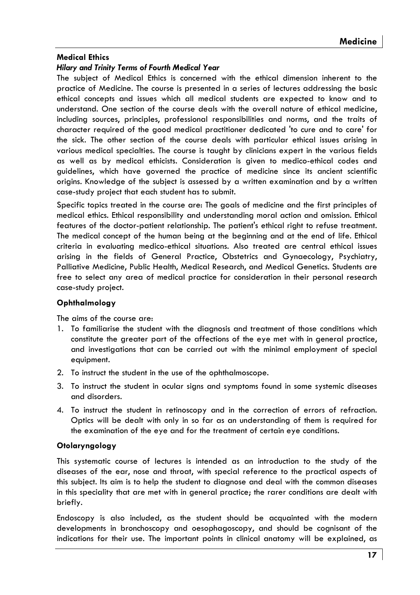### **Medical Ethics**

#### **Hilary and Trinity Terms of Fourth Medical Year**

The subject of Medical Ethics is concerned with the ethical dimension inherent to the practice of Medicine. The course is presented in a series of lectures addressing the basic ethical concepts and issues which all medical students are expected to know and to understand. One section of the course deals with the overall nature of ethical medicine, including sources, principles, professional responsibilities and norms, and the traits of character required of the good medical practitioner dedicated 'to cure and to care' for the sick. The other section of the course deals with particular ethical issues arisina in various medical specialties. The course is taught by clinicians expert in the various fields as well as by medical ethicists. Consideration is given to medico-ethical codes and guidelines, which have governed the practice of medicine since its ancient scientific origins. Knowledge of the subject is assessed by a written examination and by a written case-study project that each student has to submit.

Specific topics treated in the course are: The goals of medicine and the first principles of medical ethics. Ethical responsibility and understanding moral action and omission. Ethical features of the doctor-patient relationship. The patient's ethical right to refuse treatment. The medical concept of the human being at the beginning and at the end of life. Ethical criteria in evaluating medico-ethical situations. Also treated are central ethical issues arising in the fields of General Practice, Obstetrics and Gynaecology, Psychiatry, Palliative Medicine, Public Health, Medical Research, and Medical Genetics. Students are free to select any area of medical practice for consideration in their personal research case-study project.

### Ophthalmology

The aims of the course are:

- 1. To familiarise the student with the diagnosis and treatment of those conditions which constitute the greater part of the affections of the eye met with in general practice, and investigations that can be carried out with the minimal employment of special equipment.
- 2. To instruct the student in the use of the ophthalmoscope.
- 3. To instruct the student in ocular signs and symptoms found in some systemic diseases and disorders.
- 4. To instruct the student in retinoscopy and in the correction of errors of refraction. Optics will be dealt with only in so far as an understanding of them is required for the examination of the eye and for the treatment of certain eye conditions.

### Otolaryngology

This systematic course of lectures is intended as an introduction to the study of the diseases of the ear, nose and throat, with special reference to the practical aspects of this subject. Its aim is to help the student to diagnose and deal with the common diseases in this speciality that are met with in general practice; the rarer conditions are dealt with briefly.

Endoscopy is also included, as the student should be acquainted with the modern developments in bronchoscopy and oesophagoscopy, and should be cognisant of the indications for their use. The important points in clinical anatomy will be explained, as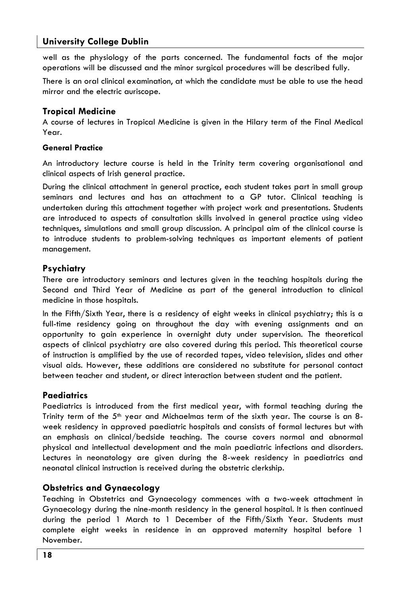### **University College Dublin**

well as the physiology of the parts concerned. The fundamental facts of the major operations will be discussed and the minor surgical procedures will be described fully.

There is an oral clinical examination, at which the candidate must be able to use the head mirror and the electric auriscope.

### **Tropical Medicine**

A course of lectures in Tropical Medicine is given in the Hilary term of the Final Medical Year

#### **General Practice**

An introductory lecture course is held in the Trinity term covering organisational and clinical aspects of Irish general practice.

During the clinical attachment in general practice, each student takes part in small group seminars and lectures and has an attachment to a GP tutor. Clinical teaching is undertaken during this attachment together with project work and presentations. Students are introduced to aspects of consultation skills involved in general practice using video techniques, simulations and small group discussion. A principal aim of the clinical course is to introduce students to problem-solving techniques as important elements of patient management.

### Psychiatry

There are introductory seminars and lectures given in the teaching hospitals during the Second and Third Year of Medicine as part of the general introduction to clinical medicine in those hospitals.

In the Fifth/Sixth Year, there is a residency of eight weeks in clinical psychiatry; this is a full-time residency going on throughout the day with evening assignments and an opportunity to gain experience in overnight duty under supervision. The theoretical aspects of clinical psychiatry are also covered during this period. This theoretical course of instruction is amplified by the use of recorded tapes, video television, slides and other visual aids. However, these additions are considered no substitute for personal contact between teacher and student, or direct interaction between student and the patient.

### **Paediatrics**

Paediatrics is introduced from the first medical year, with formal teaching during the Trinity term of the 5th year and Michaelmas term of the sixth year. The course is an 8week residency in approved paediatric hospitals and consists of formal lectures but with an emphasis on clinical/bedside teaching. The course covers normal and abnormal physical and intellectual development and the main paediatric infections and disorders. Lectures in neonatology are given during the 8-week residency in paediatrics and neonatal clinical instruction is received during the obstetric clerkship.

### **Obstetrics and Gynaecology**

Teaching in Obstetrics and Gynaecology commences with a two-week attachment in Gynaecology during the nine-month residency in the general hospital. It is then continued during the period 1 March to 1 December of the Fifth/Sixth Year. Students must complete eight weeks in residence in an approved maternity hospital before 1 November.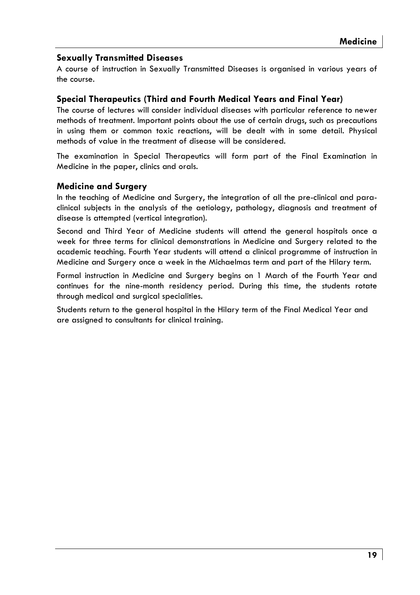### **Sexually Transmitted Diseases**

A course of instruction in Sexually Transmitted Diseases is organised in various years of the course.

### Special Therapeutics (Third and Fourth Medical Years and Final Year)

The course of lectures will consider individual diseases with particular reference to newer methods of treatment. Important points about the use of certain drugs, such as precautions in using them or common toxic reactions, will be dealt with in some detail. Physical methods of value in the treatment of disease will be considered.

The examination in Special Therapeutics will form part of the Final Examination in Medicine in the paper, clinics and orals.

### **Medicine and Surgery**

In the teaching of Medicine and Surgery, the integration of all the pre-clinical and paraclinical subjects in the analysis of the aetiology, pathology, diagnosis and treatment of disease is attempted (vertical intearation).

Second and Third Year of Medicine students will attend the general hospitals once a week for three terms for clinical demonstrations in Medicine and Surgery related to the academic teaching. Fourth Year students will attend a clinical programme of instruction in Medicine and Surgery once a week in the Michaelmas term and part of the Hilary term.

Formal instruction in Medicine and Surgery begins on 1 March of the Fourth Year and continues for the nine-month residency period. During this time, the students rotate through medical and surgical specialities.

Students return to the general hospital in the Hilary term of the Final Medical Year and are assigned to consultants for clinical training.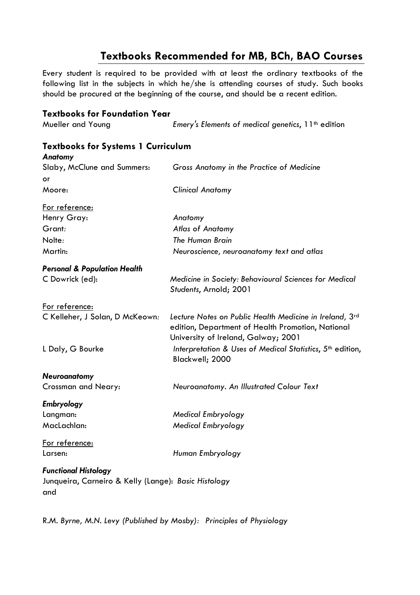### Textbooks Recommended for MB, BCh, BAO Courses

Every student is required to be provided with at least the ordinary textbooks of the following list in the subjects in which he/she is attending courses of study. Such books should be procured at the beginning of the course, and should be a recent edition.

| <b>Textbooks for Foundation Year</b>                                                       |                                                                                                                                                     |
|--------------------------------------------------------------------------------------------|-----------------------------------------------------------------------------------------------------------------------------------------------------|
| Mueller and Young                                                                          | Emery's Elements of medical genetics, 11 <sup>th</sup> edition                                                                                      |
| <b>Textbooks for Systems 1 Curriculum</b><br>Anatomy                                       |                                                                                                                                                     |
| Slaby, McClune and Summers:<br>or                                                          | Gross Anatomy in the Practice of Medicine                                                                                                           |
| Moore:                                                                                     | <b>Clinical Anatomy</b>                                                                                                                             |
| For reference:                                                                             |                                                                                                                                                     |
| Henry Gray:                                                                                | Anatomy                                                                                                                                             |
| Grant:                                                                                     | Atlas of Anatomy                                                                                                                                    |
| Nolte:                                                                                     | The Human Brain                                                                                                                                     |
| Martin:                                                                                    | Neuroscience, neuroanatomy text and atlas                                                                                                           |
| <b>Personal &amp; Population Health</b>                                                    |                                                                                                                                                     |
| C Dowrick (ed):                                                                            | Medicine in Society: Behavioural Sciences for Medical<br>Students, Arnold; 2001                                                                     |
| For reference:                                                                             |                                                                                                                                                     |
| C Kelleher, J Solan, D McKeown:                                                            | Lecture Notes on Public Health Medicine in Ireland, 3rd<br>edition, Department of Health Promotion, National<br>University of Ireland, Galway; 2001 |
| L Daly, G Bourke                                                                           | Interpretation & Uses of Medical Statistics, 5 <sup>th</sup> edition,<br>Blackwell; 2000                                                            |
| Neuroanatomy                                                                               |                                                                                                                                                     |
| Crossman and Neary:                                                                        | Neuroanatomy. An Illustrated Colour Text                                                                                                            |
| Embryology                                                                                 |                                                                                                                                                     |
| Langman:                                                                                   | Medical Embryology                                                                                                                                  |
| MacLachlan:                                                                                | <b>Medical Embryology</b>                                                                                                                           |
| For reference:                                                                             |                                                                                                                                                     |
| Larsen:                                                                                    | Human Embryology                                                                                                                                    |
| <b>Functional Histology</b><br>Junqueira, Carneiro & Kelly (Lange): Basic Histology<br>and |                                                                                                                                                     |

R.M. Byrne, M.N. Levy (Published by Mosby): Principles of Physiology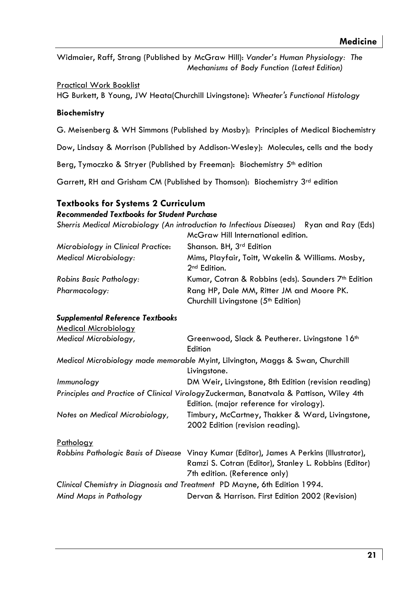Widmaier, Raff, Strana (Published by McGraw Hill): Vander's Human Physiology: The Mechanisms of Body Function (Latest Edition)

**Practical Work Booklist** 

HG Burkett, B Young, JW Heata(Churchill Livingstone): Wheater's Functional Histology

### **Biochemistry**

G. Meisenberg & WH Simmons (Published by Mosby): Principles of Medical Biochemistry

Dow, Lindsay & Morrison (Published by Addison-Wesley): Molecules, cells and the body

Berg, Tymoczko & Stryer (Published by Freeman): Biochemistry 5<sup>th</sup> edition

Garrett, RH and Grisham CM (Published by Thomson): Biochemistry 3rd edition

### **Textbooks for Systems 2 Curriculum**

### **Recommended Textbooks for Student Purchase**

Sherris Medical Microbiology (An introduction to Infectious Diseases) Ryan and Ray (Eds)  $1.19111...$  $\sim$ 

| McGraw Hill International edition.                                                           |
|----------------------------------------------------------------------------------------------|
| Shanson. BH, 3 <sup>rd</sup> Edition                                                         |
| Mims, Playfair, Toitt, Wakelin & Williams. Mosby,<br>2 <sup>nd</sup> Edition.                |
| Kumar, Cotran & Robbins (eds). Saunders 7 <sup>th</sup> Edition                              |
| Rang HP, Dale MM, Ritter JM and Moore PK.<br>Churchill Livingstone (5 <sup>th</sup> Edition) |
|                                                                                              |

### **Supplemental Reference Textbooks**

| Medical Microbiology           |                                                                                                                                                                                    |
|--------------------------------|------------------------------------------------------------------------------------------------------------------------------------------------------------------------------------|
| Medical Microbiology,          | Greenwood, Slack & Peutherer. Livingstone 16th<br>Edition                                                                                                                          |
|                                | Medical Microbiology made memorable Myint, Lilvington, Maggs & Swan, Churchill<br>Livingstone.                                                                                     |
| Immunology                     | DM Weir, Livingstone, 8th Edition (revision reading)                                                                                                                               |
|                                | Principles and Practice of Clinical Virology Zuckerman, Banatvala & Pattison, Wiley 4th<br>Edition. (major reference for virology).                                                |
| Notes on Medical Microbiology, | Timbury, McCartney, Thakker & Ward, Livingstone,<br>2002 Edition (revision reading).                                                                                               |
| Pathology                      |                                                                                                                                                                                    |
|                                | Robbins Pathologic Basis of Disease Vinay Kumar (Editor), James A Perkins (Illustrator),<br>Ramzi S. Cotran (Editor), Stanley L. Robbins (Editor)<br>7th edition. (Reference only) |
|                                | Clinical Chemistry in Diagnosis and Treatment PD Mayne, 6th Edition 1994.                                                                                                          |
| Mind Maps in Pathology         | Dervan & Harrison. First Edition 2002 (Revision)                                                                                                                                   |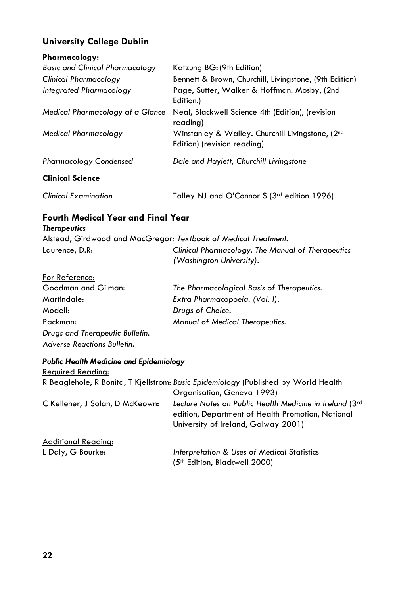### **University College Dublin**

| Pharmacology:                          |                                                                                 |
|----------------------------------------|---------------------------------------------------------------------------------|
| <b>Basic and Clinical Pharmacology</b> | Katzung BG: (9th Edition)                                                       |
| Clinical Pharmacology                  | Bennett & Brown, Churchill, Livingstone, (9th Edition)                          |
| Integrated Pharmacology                | Page, Sutter, Walker & Hoffman. Mosby, (2nd<br>Edition.)                        |
| Medical Pharmacology at a Glance       | Neal, Blackwell Science 4th (Edition), (revision<br>readina)                    |
| <b>Medical Pharmacology</b>            | Winstanley & Walley. Churchill Livingstone, (2nd<br>Edition) (revision reading) |
| <b>Pharmacology Condensed</b>          | Dale and Haylett, Churchill Livingstone                                         |
| <b>Clinical Science</b>                |                                                                                 |
| <b>Clinical Examination</b>            | Talley NJ and O'Connor S (3rd edition 1996)                                     |

### Fourth Medical Year and Final Year

### **Therapeutics**

|                | Alstead, Girdwood and MacGregor: Textbook of Medical Treatment. |
|----------------|-----------------------------------------------------------------|
| Laurence, D.R: | Clinical Pharmacology, The Manual of Therapeutics               |
|                | (Washington University).                                        |

### For Reference:

| Goodman and Gilman:                | The Pharmacological Basis of Therapeutics. |
|------------------------------------|--------------------------------------------|
| Martindale:                        | Extra Pharmacopoeia. (Vol. I).             |
| Modell:                            | Drugs of Choice.                           |
| Packman:                           | Manual of Medical Therapeutics.            |
| Drugs and Therapeutic Bulletin.    |                                            |
| <b>Adverse Reactions Bulletin.</b> |                                            |

### **Public Health Medicine and Epidemiology**

| Required Reading:               |                                                                                                                                                     |
|---------------------------------|-----------------------------------------------------------------------------------------------------------------------------------------------------|
|                                 | R Beaglehole, R Bonita, T Kjellstrom: Basic Epidemiology (Published by World Health                                                                 |
|                                 | Organisation, Geneva 1993)                                                                                                                          |
| C Kelleher, J Solan, D McKeown: | Lecture Notes on Public Health Medicine in Ireland (3rd<br>edition, Department of Health Promotion, National<br>University of Ireland, Galway 2001) |
| <b>Additional Reading:</b>      |                                                                                                                                                     |
| L Daly, G Bourke:               | Interpretation & Uses of Medical Statistics                                                                                                         |
|                                 | (5th Edition, Blackwell 2000)                                                                                                                       |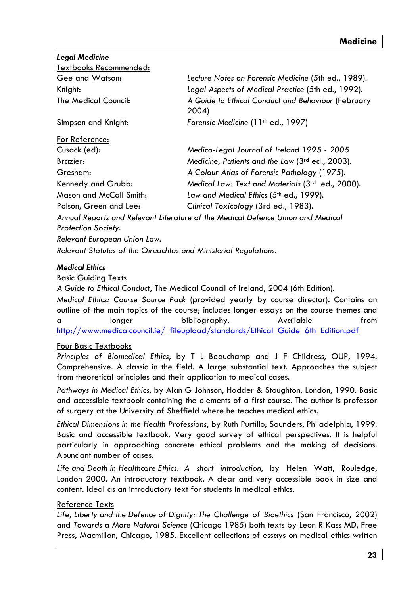**Leaal Medicine** 

| Textbooks Recommended:       |                                                                                 |
|------------------------------|---------------------------------------------------------------------------------|
| Gee and Watson:              | Lecture Notes on Forensic Medicine (5th ed., 1989).                             |
| Knight:                      | Legal Aspects of Medical Practice (5th ed., 1992).                              |
| The Medical Council:         | A Guide to Ethical Conduct and Behaviour (February<br>2004)                     |
| Simpson and Knight:          | Forensic Medicine (11 <sup>th</sup> ed., 1997)                                  |
| For Reference:               |                                                                                 |
| Cusack (ed):                 | Medico-Legal Journal of Ireland 1995 - 2005                                     |
| Brazier:                     | Medicine, Patients and the Law (3rd ed., 2003).                                 |
| Gresham:                     | A Colour Atlas of Forensic Pathology (1975).                                    |
| Kennedy and Grubb:           | Medical Law: Text and Materials (3rd ed., 2000).                                |
| Mason and McCall Smith:      | Law and Medical Ethics (5th ed., 1999).                                         |
| Polson, Green and Lee:       | Clinical Toxicology (3rd ed., 1983).                                            |
|                              | Annual Reports and Relevant Literature of the Medical Defence Union and Medical |
| <b>Protection Society.</b>   |                                                                                 |
| Relevant European Union Law. |                                                                                 |

Relevant Statutes of the Oireachtas and Ministerial Regulations.

#### **Medical Ethics**

#### **Basic Guidina Texts**

A Guide to Ethical Conduct, The Medical Council of Ireland, 2004 (6th Edition).

Medical Ethics: Course Source Pack (provided yearly by course director). Contains an outline of the main topics of the course; includes longer essays on the course themes and  $\mathbf{a}$ longer bibliography. Available  $from$ http://www.medicalcouncil.je/ fileupload/standards/Ethical Guide 6th Edition.pdf

### Four Basic Textbooks

Principles of Biomedical Ethics, by T L Beauchamp and J F Childress, OUP, 1994. Comprehensive. A classic in the field. A large substantial text. Approaches the subject from theoretical principles and their application to medical cases.

Pathways in Medical Ethics, by Alan G Johnson, Hodder & Stoughton, London, 1990. Basic and accessible textbook containing the elements of a first course. The author is professor of surgery at the University of Sheffield where he teaches medical ethics.

Ethical Dimensions in the Health Professions, by Ruth Purtillo, Saunders, Philadelphia, 1999. Basic and accessible textbook. Very good survey of ethical perspectives. It is helpful particularly in approaching concrete ethical problems and the making of decisions. Abundant number of cases.

Life and Death in Healthcare Ethics: A short introduction, by Helen Watt, Rouledge, London 2000. An introductory textbook. A clear and very accessible book in size and content. Ideal as an introductory text for students in medical ethics.

### **Reference Texts**

Life, Liberty and the Defence of Dignity: The Challenge of Bioethics (San Francisco, 2002) and Towards a More Natural Science (Chicago 1985) both texts by Leon R Kass MD, Free Press, Macmillan, Chicago, 1985. Excellent collections of essays on medical ethics written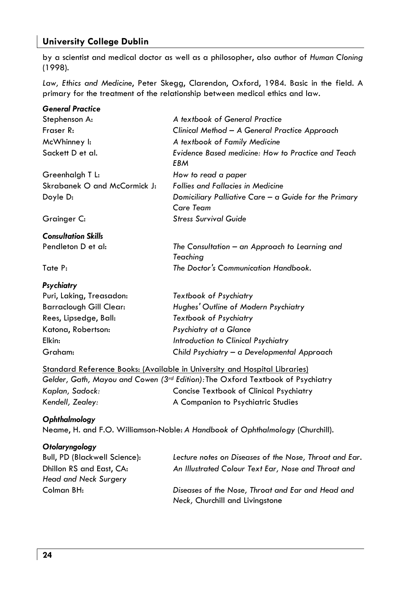### **University College Dublin**

by a scientist and medical doctor as well as a philosopher, also author of Human Cloning  $(1998).$ 

Law, Ethics and Medicine, Peter Skegg, Clarendon, Oxford, 1984. Basic in the field. A primary for the treatment of the relationship between medical ethics and law.

| <b>General Practice</b>        |                                                                            |
|--------------------------------|----------------------------------------------------------------------------|
| Stephenson A:                  | A textbook of General Practice                                             |
| Fraser R:                      | Clinical Method - A General Practice Approach                              |
| McWhinney I:                   | A textbook of Family Medicine                                              |
| Sackett D et al.               | Evidence Based medicine: How to Practice and Teach<br>EBM                  |
| Greenhalgh T L:                | How to read a paper                                                        |
| Skrabanek O and McCormick J:   | <b>Follies and Fallacies in Medicine</b>                                   |
| Doyle D:                       | Domiciliary Palliative Care $-\alpha$ Guide for the Primary<br>Care Team   |
| Grainger C:                    | <b>Stress Survival Guide</b>                                               |
| <b>Consultation Skills</b>     |                                                                            |
| Pendleton D et al:             | The Consultation – an Approach to Learning and<br>Teaching                 |
| Tate P:                        | The Doctor's Communication Handbook.                                       |
| Psychiatry                     |                                                                            |
| Puri, Laking, Treasadon:       | Textbook of Psychiatry                                                     |
| <b>Barraclough Gill Clear:</b> | Hughes' Outline of Modern Psychiatry                                       |
| Rees, Lipsedge, Ball:          | Textbook of Psychiatry                                                     |
| Katona, Robertson:             | Psychiatry at a Glance                                                     |
| Elkin:                         | Introduction to Clinical Psychiatry                                        |
| Graham:                        | Child Psychiatry - a Developmental Approach                                |
|                                | Standard Reference Books: (Available in University and Hospital Libraries) |
|                                |                                                                            |

|                  | Gelder, Gath, Mayou and Cowen (3 <sup>rd</sup> Edition):The Oxford Textbook of Psychiatry |
|------------------|-------------------------------------------------------------------------------------------|
| Kaplan, Sadock:  | Concise Textbook of Clinical Psychiatry                                                   |
| Kendell, Zealey: | A Companion to Psychiatric Studies                                                        |

#### Ophthalmology

Neame, H. and F.O. Williamson-Noble: A Handbook of Ophthalmology (Churchill).

### Otolaryngology

| Bull, PD (Blackwell Science): | Lecture notes on Diseases of the Nose, Throat and Ear. |
|-------------------------------|--------------------------------------------------------|
| Dhillon RS and East, CA:      | An Illustrated Colour Text Ear, Nose and Throat and    |
| Head and Neck Surgery         |                                                        |
| Colman BH:                    | Diseases of the Nose, Throat and Ear and Head and      |
|                               | Neck, Churchill and Livingstone                        |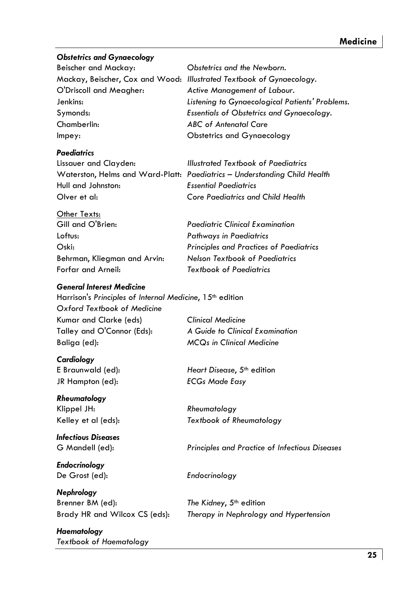### **Obstetrics and Gynaecoloay**

Beischer and Mackay: O'Driscoll and Meagher: lenkins. Symonds: Chamberlin: Imney:

#### **Paediatrics**

Lissauer and Clayden: Hull and Johnston-Olver et al-

Other Texts:

Gill and O'Brien: Loftus: Oski-Behrman, Kliegman and Arvin: Forfar and Arneil:

#### **General Interest Medicine**

Harrison's Principles of Internal Medicine, 15<sup>th</sup> edition Oxford Textbook of Medicine **Clinical Medicine** Kumar and Clarke (eds) Talley and O'Connor (Eds): Baliga (ed):

Cardiology E Braunwald (ed): JR Hampton (ed):

Rheumatoloav Klippel JH: Kelley et al (eds):

Infectious Diseases G Mandell (ed):

**Endocrinology** De Grost (ed):

Nephrology Brenner BM (ed): Brady HR and Wilcox CS (eds):

Haematoloay **Textbook of Haematology** 

Obstetrics and the Newborn. Mackay, Beischer, Cox and Wood: Illustrated Textbook of Gynaecology. Active Management of Labour. Listening to Gynaecological Patients' Problems. **Essentials of Obstetrics and Gynaecoloay. ABC** of Antenatal Care Obstetrics and Gynaecology

Illustrated Textbook of Paediatrics Waterston, Helms and Ward-Platt: Paediatrics - Understanding Child Health **Essential Paediatrics** Core Paediatrics and Child Health

> **Paediatric Clinical Examination Pathways in Paediatrics** Principles and Practices of Paediatrics Nelson Textbook of Paediatrics **Textbook of Paediatrics**

A Guide to Clinical Examination **MCQs in Clinical Medicine** 

Heart Disease, 5th edition **ECGs Made Easy** 

Rheumatology **Textbook of Rheumatology** 

Principles and Practice of Infectious Diseases

Endocrinology

The Kidney, 5<sup>th</sup> edition Therapy in Nephrology and Hypertension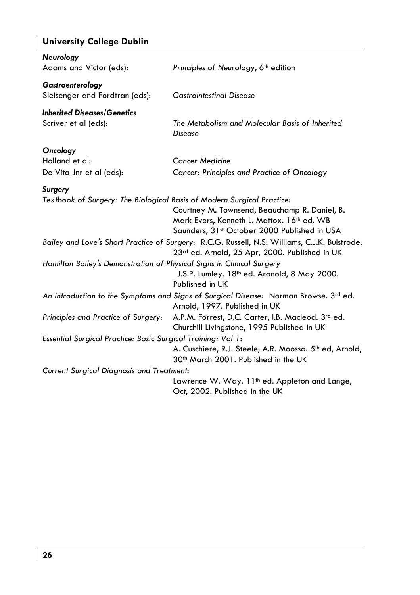### **University College Dublin**

| <b>Neurology</b><br>Adams and Victor (eds):                                              | Principles of Neurology, 6 <sup>th</sup> edition                                                                                                |
|------------------------------------------------------------------------------------------|-------------------------------------------------------------------------------------------------------------------------------------------------|
| Gastroenterology<br>Sleisenger and Fordtran (eds):                                       | <b>Gastrointestinal Disease</b>                                                                                                                 |
| <b>Inherited Diseases/Genetics</b><br>Scriver et al (eds):                               | The Metabolism and Molecular Basis of Inherited<br><b>Disease</b>                                                                               |
| Oncology<br>Holland et al:<br>De Vita Jnr et al (eds):                                   | <b>Cancer Medicine</b><br>Cancer: Principles and Practice of Oncology                                                                           |
| <b>Surgery</b><br>Textbook of Surgery: The Biological Basis of Modern Surgical Practice: | Courtney M. Townsend, Beauchamp R. Daniel, B.<br>Mark Evers, Kenneth L. Mattox. 16th ed. WB<br>Saunders, 31st October 2000 Published in USA     |
|                                                                                          | Bailey and Love's Short Practice of Surgery: R.C.G. Russell, N.S. Williams, C.J.K. Bulstrode.<br>23rd ed. Arnold, 25 Apr, 2000. Published in UK |
| Hamilton Bailey's Demonstration of Physical Signs in Clinical Surgery                    | J.S.P. Lumley. 18 <sup>th</sup> ed. Aranold, 8 May 2000.<br>Published in UK                                                                     |
|                                                                                          | An Introduction to the Symptoms and Signs of Surgical Disease: Norman Browse. 3 <sup>rd</sup> ed.<br>Arnold, 1997. Published in UK              |
| Principles and Practice of Surgery:                                                      | A.P.M. Forrest, D.C. Carter, I.B. Macleod. 3rd ed.<br>Churchill Livingstone, 1995 Published in UK                                               |
| Essential Surgical Practice: Basic Surgical Training: Vol 1:                             | A. Cuschiere, R.J. Steele, A.R. Moossa. 5 <sup>th</sup> ed, Arnold,<br>30 <sup>th</sup> March 2001. Published in the UK                         |
| <b>Current Surgical Diagnosis and Treatment:</b>                                         |                                                                                                                                                 |
|                                                                                          | Lawrence W. Way. 11 <sup>th</sup> ed. Appleton and Lange,<br>Oct, 2002. Published in the UK                                                     |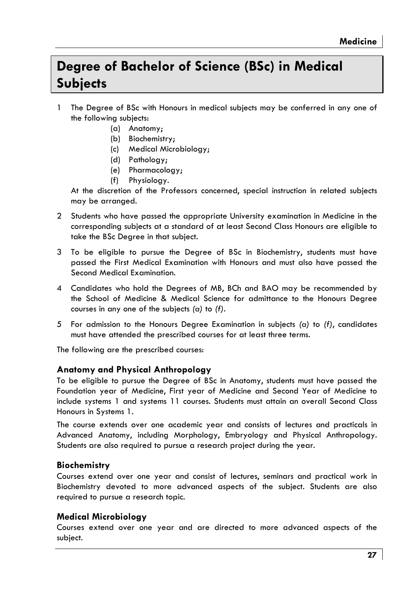### Dearee of Bachelor of Science (BSc) in Medical **Subiects**

- 1 The Degree of BSc with Honours in medical subjects may be conferred in any one of the following subjects:
	- (a) Anatomy;
	- (b) Biochemistry;
	- (c) Medical Microbiology;
	- (d) Pathology;
	- (e) Pharmacology;
	- $(f)$ Physiology.

At the discretion of the Professors concerned, special instruction in related subjects may be arranged.

- 2 Students who have passed the appropriate University examination in Medicine in the corresponding subjects at a standard of at least Second Class Honours are eligible to take the BSc Degree in that subject.
- 3 To be eligible to pursue the Degree of BSc in Biochemistry, students must have passed the First Medical Examination with Honours and must also have passed the Second Medical Examination.
- 4 Candidates who hold the Degrees of MB, BCh and BAO may be recommended by the School of Medicine & Medical Science for admittance to the Honours Degree courses in any one of the subjects  $(a)$  to  $(f)$ .
- 5 For admission to the Honours Degree Examination in subjects (a) to (f), candidates must have attended the prescribed courses for at least three terms.

The following are the prescribed courses:

### Anatomy and Physical Anthropology

To be eligible to pursue the Degree of BSc in Anatomy, students must have passed the Foundation year of Medicine, First year of Medicine and Second Year of Medicine to include systems 1 and systems 11 courses. Students must attain an overall Second Class Honours in Systems 1.

The course extends over one academic year and consists of lectures and practicals in Advanced Anatomy, including Morphology, Embryology and Physical Anthropology. Students are also required to pursue a research project during the year.

### **Biochemistry**

Courses extend over one year and consist of lectures, seminars and practical work in Biochemistry devoted to more advanced aspects of the subject. Students are also required to pursue a research topic.

### Medical Microbiology

Courses extend over one year and are directed to more advanced aspects of the subject.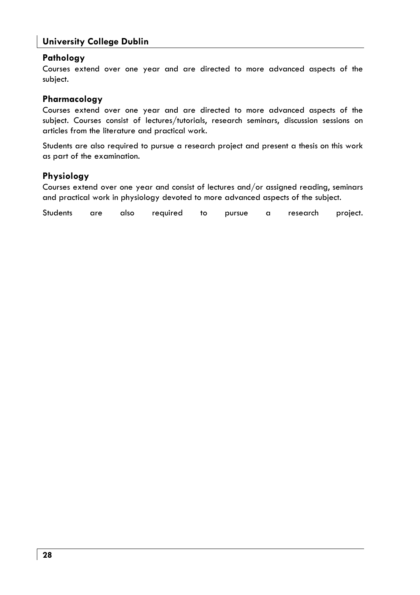### **University College Dublin**

### Pathology

Courses extend over one year and are directed to more advanced aspects of the subiect.

#### Pharmacology

Courses extend over one year and are directed to more advanced aspects of the subject. Courses consist of lectures/tutorials, research seminars, discussion sessions on articles from the literature and practical work.

Students are also reauired to pursue a research project and present a thesis on this work as part of the examination.

#### Physiology

Courses extend over one year and consist of lectures and/or assigned reading, seminars and practical work in physiology devoted to more advanced aspects of the subject.

**Students** are also reauired  $t_0$ pursue  $\alpha$ research project.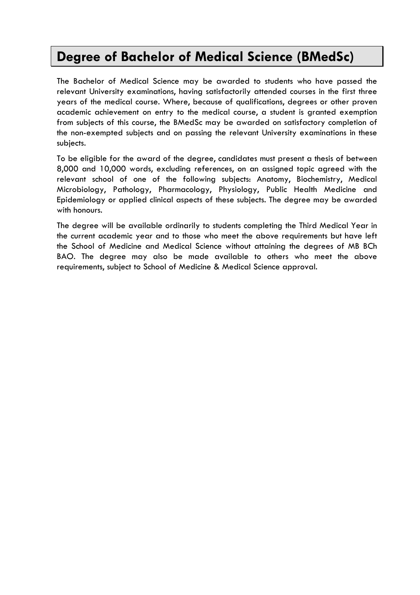### Degree of Bachelor of Medical Science (BMedSc)

The Bachelor of Medical Science may be awarded to students who have passed the relevant University examinations, having satisfactorily attended courses in the first three years of the medical course. Where, because of qualifications, degrees or other proven academic achievement on entry to the medical course, a student is aranted exemption from subjects of this course, the BMedSc may be awarded on satisfactory completion of the non-exempted subjects and on passing the relevant University examinations in these subjects.

To be eligible for the award of the degree, candidates must present a thesis of between 8,000 and 10,000 words, excluding references, on an assigned topic agreed with the relevant school of one of the following subjects: Anatomy, Biochemistry, Medical Microbiology, Pathology, Pharmacology, Physiology, Public Health Medicine and Epidemiology or applied clinical aspects of these subjects. The degree may be awarded with honours.

The degree will be available ordinarily to students completing the Third Medical Year in the current academic year and to those who meet the above requirements but have left the School of Medicine and Medical Science without attaining the degrees of MB BCh BAO. The degree may also be made available to others who meet the above requirements, subject to School of Medicine & Medical Science approval.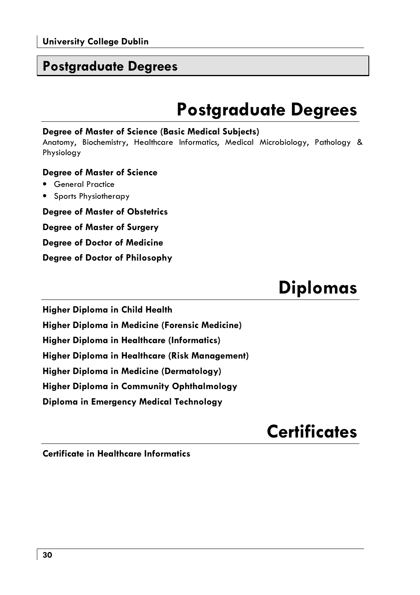### **Postaraduate Dearees**

# **Postgraduate Degrees**

### Degree of Master of Science (Basic Medical Subjects)

Anatomy, Biochemistry, Healthcare Informatics, Medical Microbiology, Pathology & Physiology

### **Degree of Master of Science**

- General Practice
- Sports Physiotherapy

**Degree of Master of Obstetrics** 

**Degree of Master of Surgery** 

**Degree of Doctor of Medicine** 

Degree of Doctor of Philosophy

# **Diplomas**

**Higher Diploma in Child Health** 

Higher Diploma in Medicine (Forensic Medicine)

**Higher Diploma in Healthcare (Informatics)** 

Higher Diploma in Healthcare (Risk Management)

Higher Diploma in Medicine (Dermatology)

Higher Diploma in Community Ophthalmology

Diploma in Emergency Medical Technology

## **Certificates**

Certificate in Healthcare Informatics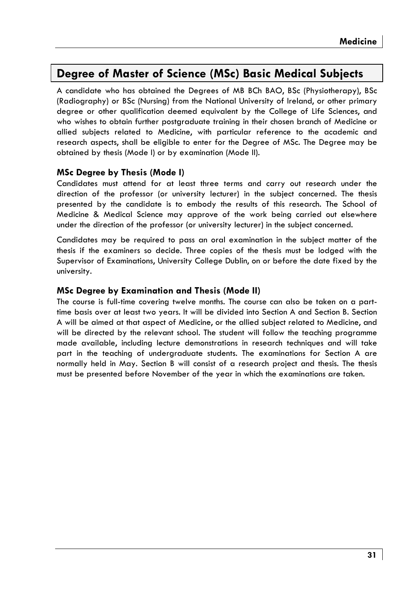### Dearee of Master of Science (MSc) Basic Medical Subiects

A candidate who has obtained the Degrees of MB BCh BAO, BSc (Physiotherapy), BSc (Radiography) or BSc (Nursing) from the National University of Ireland, or other primary degree or other qualification deemed equivalent by the College of Life Sciences, and who wishes to obtain further postgraduate training in their chosen branch of Medicine or allied subjects related to Medicine, with particular reference to the academic and research aspects, shall be eligible to enter for the Degree of MSc. The Degree may be obtained by thesis (Mode I) or by examination (Mode II).

### **MSc Degree by Thesis (Mode I)**

Candidates must attend for at least three terms and carry out research under the direction of the professor (or university lecturer) in the subject concerned. The thesis presented by the candidate is to embody the results of this research. The School of Medicine & Medical Science may approve of the work being carried out elsewhere under the direction of the professor (or university lecturer) in the subject concerned.

Candidates may be required to pass an oral examination in the subject matter of the thesis if the examiners so decide. Three copies of the thesis must be lodged with the Supervisor of Examinations, University College Dublin, on or before the date fixed by the university.

### MSc Degree by Examination and Thesis (Mode II)

The course is full-time covering twelve months. The course can also be taken on a parttime basis over at least two years. It will be divided into Section A and Section B. Section A will be aimed at that aspect of Medicine, or the allied subject related to Medicine, and will be directed by the relevant school. The student will follow the teaching programme made available, including lecture demonstrations in research techniques and will take part in the teaching of undergraduate students. The examinations for Section A are normally held in May. Section B will consist of a research project and thesis. The thesis must be presented before November of the year in which the examinations are taken.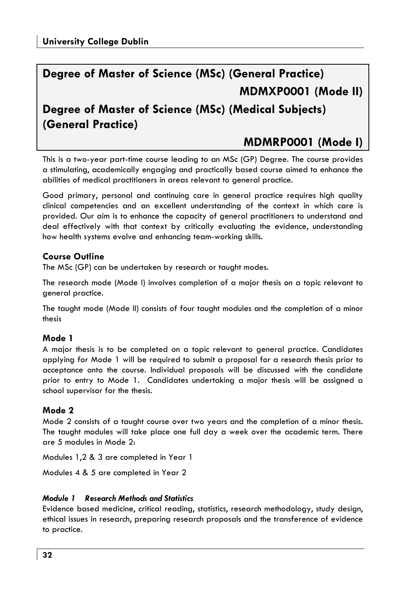### Dearee of Master of Science (MSc) (General Practice) MDMXP0001 (Mode II)

### Dearee of Master of Science (MSc) (Medical Subjects) (General Practice)

### MDMRP0001 (Mode I)

This is a two-year part-time course leading to an MSc (GP) Degree. The course provides a stimulating, academically engaging and practically based course aimed to enhance the abilities of medical practitioners in areas relevant to general practice.

Good primary, personal and continuing care in general practice requires high quality clinical competencies and an excellent understanding of the context in which care is provided. Our aim is to enhance the capacity of general practitioners to understand and deal effectively with that context by critically evaluating the evidence, understanding how health systems evolve and enhancing team-working skills.

### **Course Outline**

The MSc (GP) can be undertaken by research or taught modes.

The research mode (Mode I) involves completion of a major thesis on a topic relevant to aeneral practice.

The taught mode (Mode II) consists of four taught modules and the completion of a minor thesis

### Mode 1

A major thesis is to be completed on a topic relevant to general practice. Candidates applying for Mode 1 will be required to submit a proposal for a research thesis prior to acceptance onto the course. Individual proposals will be discussed with the candidate prior to entry to Mode 1. Candidates undertaking a major thesis will be assigned a school supervisor for the thesis.

### Mode 2

Mode 2 consists of a taught course over two years and the completion of a minor thesis. The taught modules will take place one full day a week over the academic term. There are 5 modules in Mode 2.

Modules 1,2 & 3 are completed in Year 1

Modules 4 & 5 are completed in Year 2

### Module 1 Research Methods and Statistics

Evidence based medicine, critical reading, statistics, research methodology, study design, ethical issues in research, preparing research proposals and the transference of evidence to practice.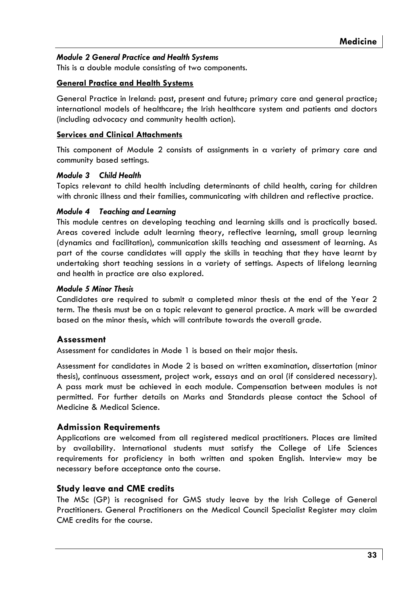### Module 2 General Practice and Health Systems

This is a double module consisting of two components.

### **General Practice and Health Systems**

General Practice in Ireland: past, present and future; primary care and general practice; international models of healthcare; the Irish healthcare system and patients and doctors (including advocacy and community health action).

#### **Services and Clinical Attachments**

This component of Module 2 consists of assignments in a variety of primary care and community based settings.

#### Module 3 Child Health

Topics relevant to child health including determinants of child health, caring for children with chronic illness and their families, communicating with children and reflective practice.

#### **Module 4 Teaching and Learning**

This module centres on developing teaching and learning skills and is practically based. Areas covered include adult learning theory, reflective learning, small group learning (dynamics and facilitation), communication skills teaching and assessment of learning. As part of the course candidates will apply the skills in teaching that they have learnt by undertaking short teaching sessions in a variety of settings. Aspects of lifelong learning and health in practice are also explored.

#### **Module 5 Minor Thesis**

Candidates are required to submit a completed minor thesis at the end of the Year 2 term. The thesis must be on a topic relevant to general practice. A mark will be awarded based on the minor thesis, which will contribute towards the overall grade.

### Assessment

Assessment for candidates in Mode 1 is based on their major thesis.

Assessment for candidates in Mode 2 is based on written examination, dissertation (minor thesis), continuous assessment, project work, essays and an oral (if considered necessary). A pass mark must be achieved in each module. Compensation between modules is not permitted. For further details on Marks and Standards please contact the School of Medicine & Medical Science.

### **Admission Requirements**

Applications are welcomed from all registered medical practitioners. Places are limited by availability. International students must satisfy the College of Life Sciences requirements for proficiency in both written and spoken English. Interview may be necessary before acceptance onto the course.

### **Study leave and CME credits**

The MSc (GP) is recognised for GMS study leave by the Irish College of General Practitioners. General Practitioners on the Medical Council Specialist Register may claim CME credits for the course.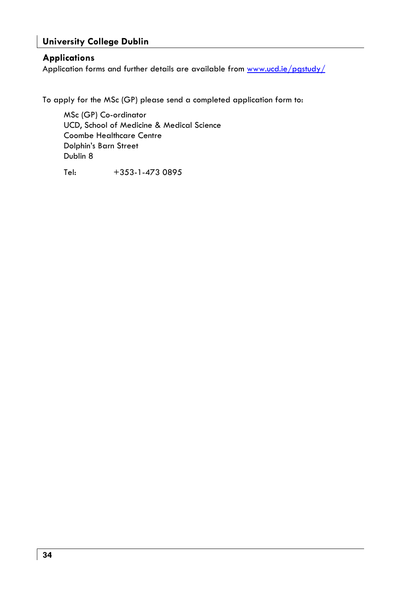### **University College Dublin**

### **Applications**

Application forms and further details are available from www.ucd.ie/pastudy/

To apply for the MSc (GP) please send a completed application form to:

MSc (GP) Co-ordinator UCD, School of Medicine & Medical Science **Coombe Healthcare Centre** Dolphin's Barn Street Dublin 8

Tel: +353-1-473 0895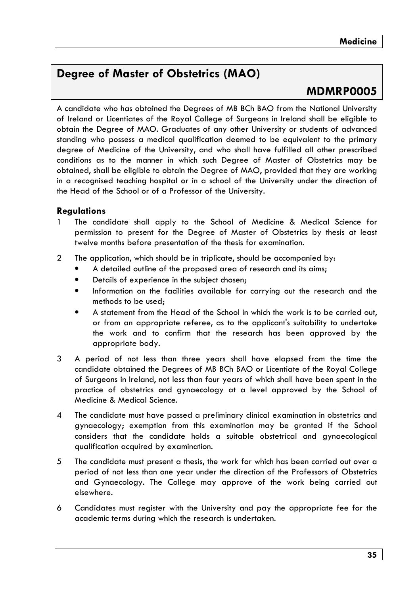### **Dearee of Master of Obstetrics (MAO)**

### MDMRP0005

A candidate who has obtained the Degrees of MB BCh BAO from the National University of Ireland or Licentiates of the Royal College of Surgeons in Ireland shall be eligible to obtain the Degree of MAO. Graduates of any other University or students of advanced standing who possess a medical qualification deemed to be equivalent to the primary degree of Medicine of the University, and who shall have fulfilled all other prescribed conditions as to the manner in which such Dearee of Master of Obstetrics may be obtained, shall be eligible to obtain the Degree of MAO, provided that they are working in a recognised teaching hospital or in a school of the University under the direction of the Head of the School or of a Professor of the University.

### **Regulations**

- The candidate shall apply to the School of Medicine & Medical Science for permission to present for the Degree of Master of Obstetrics by thesis at least twelve months before presentation of the thesis for examination.
- The application, which should be in triplicate, should be accompanied by:  $\overline{2}$ 
	- A detailed outline of the proposed area of research and its aims;
	- Details of experience in the subject chosen;
	- Information on the facilities available for carrying out the research and the  $\bullet$ methods to be used:
	- A statement from the Head of the School in which the work is to be carried out, or from an appropriate referee, as to the applicant's suitability to undertake the work and to confirm that the research has been approved by the appropriate body.
- 3 A period of not less than three years shall have elapsed from the time the candidate obtained the Degrees of MB BCh BAO or Licentiate of the Royal College of Surgeons in Ireland, not less than four years of which shall have been spent in the practice of obstetrics and gynaecology at a level approved by the School of Medicine & Medical Science.
- $\overline{4}$ The candidate must have passed a preliminary clinical examination in obstetrics and gynaecology; exemption from this examination may be granted if the School considers that the candidate holds a suitable obstetrical and gynaecological qualification acquired by examination.
- 5 The candidate must present a thesis, the work for which has been carried out over a period of not less than one year under the direction of the Professors of Obstetrics and Gynaecology. The College may approve of the work being carried out elsewhere.
- 6 Candidates must register with the University and pay the appropriate fee for the academic terms during which the research is undertaken.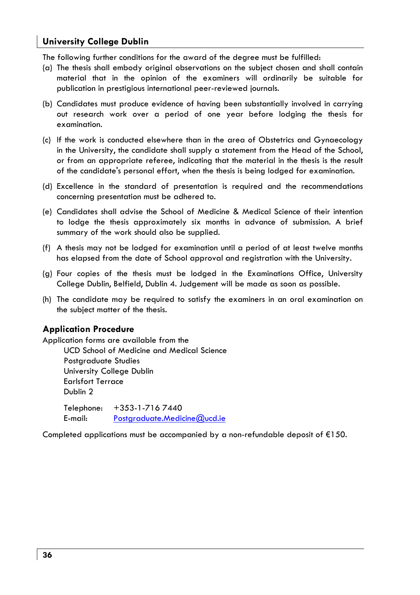The following further conditions for the award of the degree must be fulfilled:

- (a) The thesis shall embody original observations on the subject chosen and shall contain material that in the opinion of the examiners will ordinarily be suitable for publication in prestigious international peer-reviewed journals.
- (b) Candidates must produce evidence of having been substantially involved in carrying out research work over a period of one year before lodging the thesis for examination.
- (c) If the work is conducted elsewhere than in the area of Obstetrics and Gynaecology in the University, the candidate shall supply a statement from the Head of the School, or from an appropriate referee, indicating that the material in the thesis is the result of the candidate's personal effort, when the thesis is being lodged for examination.
- (d) Excellence in the standard of presentation is required and the recommendations concerning presentation must be adhered to.
- (e) Candidates shall advise the School of Medicine & Medical Science of their intention to lodge the thesis approximately six months in advance of submission. A brief summary of the work should also be supplied.
- (f) A thesis may not be lodged for examination until a period of at least twelve months has elapsed from the date of School approval and registration with the University.
- (g) Four copies of the thesis must be lodged in the Examinations Office, University College Dublin, Belfield, Dublin 4. Judgement will be made as soon as possible.
- (h) The candidate may be required to satisfy the examiners in an oral examination on the subject matter of the thesis.

### **Application Procedure**

Application forms are available from the UCD School of Medicine and Medical Science Postaraduate Studies University College Dublin **Earlsfort Terrace** Dublin 2  $+353 - 1 - 7167440$ Telephone: E-mail: Postgraduate.Medicine@ucd.ie

Completed applications must be accompanied by a non-refundable deposit of  $E$ 150.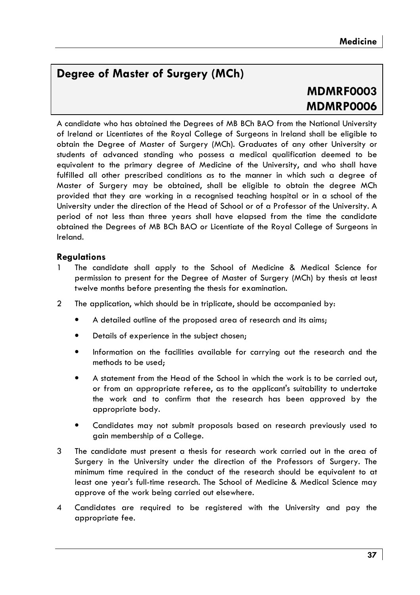### Dearee of Master of Surgery (MCh)

### **MDMRF0003** MDMRP0006

A candidate who has obtained the Dearees of MB BCh BAO from the National University of Ireland or Licentiates of the Royal College of Surgeons in Ireland shall be eligible to obtain the Degree of Master of Surgery (MCh). Graduates of any other University or students of advanced standing who possess a medical qualification deemed to be eauivalent to the primary dearee of Medicine of the University, and who shall have fulfilled all other prescribed conditions as to the manner in which such a degree of Master of Surgery may be obtained, shall be eligible to obtain the degree MCh provided that they are working in a recognised teaching hospital or in a school of the University under the direction of the Head of School or of a Professor of the University. A period of not less than three years shall have elapsed from the time the candidate obtained the Degrees of MB BCh BAO or Licentiate of the Royal College of Surgeons in Ireland.

### **Regulations**

- The candidate shall apply to the School of Medicine & Medical Science for permission to present for the Degree of Master of Surgery (MCh) by thesis at least twelve months before presenting the thesis for examination.
- $\mathcal{P}$ The application, which should be in triplicate, should be accompanied by:
	- A detailed outline of the proposed area of research and its aims;
	- Details of experience in the subject chosen;
	- Information on the facilities available for carrying out the research and the methods to be used;
	- A statement from the Head of the School in which the work is to be carried out. or from an appropriate referee, as to the applicant's suitability to undertake the work and to confirm that the research has been approved by the appropriate body.
	- Candidates may not submit proposals based on research previously used to gain membership of a College.
- The candidate must present a thesis for research work carried out in the area of 3 Surgery in the University under the direction of the Professors of Surgery. The minimum time required in the conduct of the research should be equivalent to at least one year's full-time research. The School of Medicine & Medical Science may approve of the work being carried out elsewhere.
- Candidates are required to be registered with the University and pay the  $\boldsymbol{\Lambda}$ appropriate fee.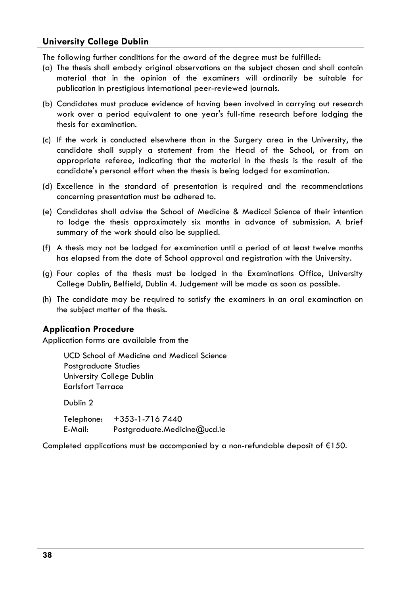The following further conditions for the award of the degree must be fulfilled:

- (a) The thesis shall embody original observations on the subject chosen and shall contain material that in the opinion of the examiners will ordinarily be suitable for publication in prestigious international peer-reviewed journals.
- (b) Candidates must produce evidence of having been involved in carrying out research work over a period equivalent to one year's full-time research before lodging the thesis for examination.
- (c) If the work is conducted elsewhere than in the Surgery area in the University, the candidate shall supply a statement from the Head of the School, or from an appropriate referee, indicating that the material in the thesis is the result of the candidate's personal effort when the thesis is being lodged for examination.
- (d) Excellence in the standard of presentation is required and the recommendations concerning presentation must be adhered to.
- (e) Candidates shall advise the School of Medicine & Medical Science of their intention to lodge the thesis approximately six months in advance of submission. A brief summary of the work should also be supplied.
- (f) A thesis may not be lodged for examination until a period of at least twelve months has elapsed from the date of School approval and registration with the University.
- (g) Four copies of the thesis must be lodged in the Examinations Office, University College Dublin, Belfield, Dublin 4. Judgement will be made as soon as possible.
- (h) The candidate may be required to satisfy the examiners in an oral examination on the subject matter of the thesis.

### **Application Procedure**

Application forms are available from the

**UCD School of Medicine and Medical Science** Postgraduate Studies University College Dublin **Earlsfort Terrace** 

Dublin<sub>2</sub>

+353-1-7167440 Telephone: E-Mail: Postgraduate.Medicine@ucd.ie

Completed applications must be accompanied by a non-refundable deposit of  $E$ 150.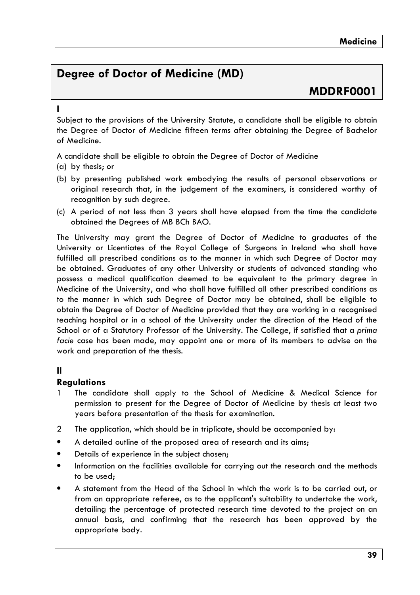### **Dearee of Doctor of Medicine (MD)**

### **MDDRF0001**

Subject to the provisions of the University Statute, a candidate shall be eligible to obtain the Degree of Doctor of Medicine fifteen terms after obtaining the Degree of Bachelor of Medicine.

A candidate shall be eligible to obtain the Degree of Doctor of Medicine

- (a) by thesis: or
- (b) by presenting published work embodying the results of personal observations or original research that, in the judgement of the examiners, is considered worthy of recognition by such degree.
- (c) A period of not less than 3 years shall have elapsed from the time the candidate obtained the Degrees of MB BCh BAO.

The University may grant the Degree of Doctor of Medicine to graduates of the University or Licentiates of the Royal College of Surgeons in Ireland who shall have fulfilled all prescribed conditions as to the manner in which such Degree of Doctor may be obtained. Graduates of any other University or students of advanced standing who possess a medical qualification deemed to be equivalent to the primary degree in Medicine of the University, and who shall have fulfilled all other prescribed conditions as to the manner in which such Degree of Doctor may be obtained, shall be eligible to obtain the Degree of Doctor of Medicine provided that they are working in a recognised teaching hospital or in a school of the University under the direction of the Head of the School or of a Statutory Professor of the University. The College, if satisfied that a prima facie case has been made, may appoint one or more of its members to advise on the work and preparation of the thesis.

### $\mathbf{u}$

### **Regulations**

- The candidate shall apply to the School of Medicine & Medical Science for permission to present for the Degree of Doctor of Medicine by thesis at least two years before presentation of the thesis for examination.
- The application, which should be in triplicate, should be accompanied by:  $\overline{2}$
- A detailed outline of the proposed area of research and its aims;
- Details of experience in the subject chosen;
- Information on the facilities available for carrying out the research and the methods to be used:
- A statement from the Head of the School in which the work is to be carried out, or from an appropriate referee, as to the applicant's suitability to undertake the work, detailing the percentage of protected research time devoted to the project on an annual basis, and confirming that the research has been approved by the appropriate body.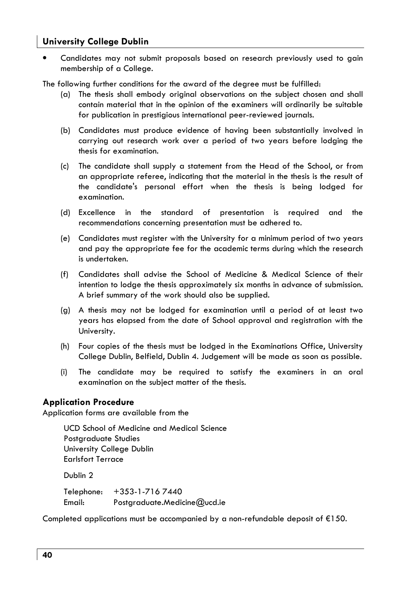Candidates may not submit proposals based on research previously used to agin membership of a Colleae.

The following further conditions for the award of the degree must be fulfilled:

- (a) The thesis shall embody original observations on the subject chosen and shall contain material that in the opinion of the examiners will ordinarily be suitable for publication in prestigious international peer-reviewed journals.
- (b) Candidates must produce evidence of havina been substantially involved in carrying out research work over a period of two years before lodging the thesis for examination.
- (c) The candidate shall supply a statement from the Head of the School, or from an appropriate referee, indicating that the material in the thesis is the result of the candidate's personal effort when the thesis is being lodged for examination.
- (d) Excellence in the standard of presentation is required and the recommendations concerning presentation must be adhered to.
- (e) Candidates must register with the University for a minimum period of two years and pay the appropriate fee for the academic terms during which the research is undertaken.
- (f) Candidates shall advise the School of Medicine & Medical Science of their intention to lodge the thesis approximately six months in advance of submission. A brief summary of the work should also be supplied.
- (g) A thesis may not be lodged for examination until a period of at least two years has elapsed from the date of School approval and registration with the University.
- (h) Four copies of the thesis must be lodged in the Examinations Office, University College Dublin, Belfield, Dublin 4. Judgement will be made as soon as possible.
- $(i)$ The candidate may be required to satisfy the examiners in an oral examination on the subject matter of the thesis.

### **Application Procedure**

Application forms are available from the

UCD School of Medicine and Medical Science Postgraduate Studies University College Dublin **Earlsfort Terrace** 

Dublin<sub>2</sub>

| Telephone: | +353-1-716 7440              |
|------------|------------------------------|
| Email:     | Postgraduate.Medicine@ucd.ie |

Completed applications must be accompanied by a non-refundable deposit of  $E$ 150.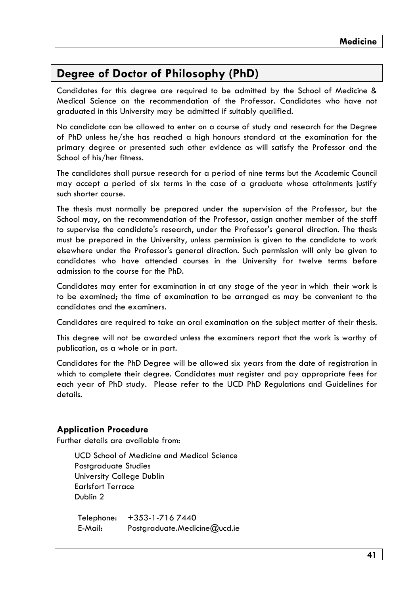### Degree of Doctor of Philosophy (PhD)

Candidates for this degree are required to be admitted by the School of Medicine & Medical Science on the recommendation of the Professor. Candidates who have not graduated in this University may be admitted if suitably qualified.

No candidate can be allowed to enter on a course of study and research for the Degree of PhD unless he/she has reached a high honours standard at the examination for the primary degree or presented such other evidence as will satisfy the Professor and the School of his/her fitness.

The candidates shall pursue research for a period of nine terms but the Academic Council may accept a period of six terms in the case of a graduate whose attainments justify such shorter course.

The thesis must normally be prepared under the supervision of the Professor, but the School may, on the recommendation of the Professor, assign another member of the staff to supervise the candidate's research, under the Professor's general direction. The thesis must be prepared in the University, unless permission is given to the candidate to work elsewhere under the Professor's general direction. Such permission will only be given to candidates who have attended courses in the University for twelve terms before admission to the course for the PhD.

Candidates may enter for examination in at any stage of the year in which their work is to be examined; the time of examination to be arranged as may be convenient to the candidates and the examiners.

Candidates are required to take an oral examination on the subject matter of their thesis.

This degree will not be awarded unless the examiners report that the work is worthy of publication, as a whole or in part.

Candidates for the PhD Degree will be allowed six years from the date of registration in which to complete their degree. Candidates must register and pay appropriate fees for each year of PhD study. Please refer to the UCD PhD Regulations and Guidelines for details.

### **Application Procedure**

Further details are available from:

UCD School of Medicine and Medical Science Postaraduate Studies University College Dublin **Farlsfort Terrace** Dublin<sub>2</sub>

 $+353 - 1 - 7167440$ Telephone: F-Mail-Postgraduate.Medicine@ucd.ie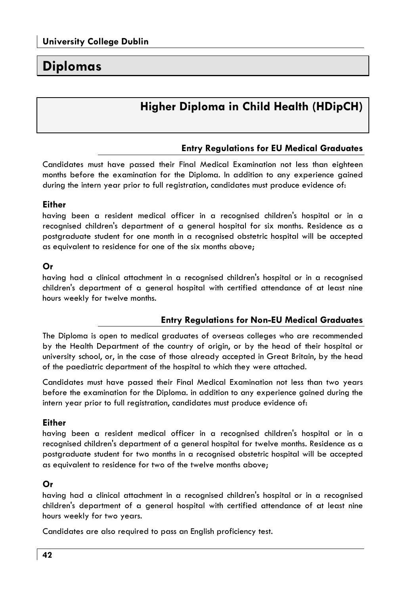### **Diplomas**

### **Higher Diploma in Child Health (HDipCH)**

### **Entry Regulations for EU Medical Graduates**

Candidates must have passed their Final Medical Examination not less than eighteen months before the examination for the Diploma. In addition to any experience gained during the intern year prior to full registration, candidates must produce evidence of:

#### **Either**

havina been a resident medical officer in a recoanised children's hospital or in a recognised children's department of a general hospital for six months. Residence as a postgraduate student for one month in a recognised obstetric hospital will be accepted as equivalent to residence for one of the six months above;

### Or

having had a clinical attachment in a recognised children's hospital or in a recognised children's department of a general hospital with certified attendance of at least nine hours weekly for twelve months.

### **Entry Regulations for Non-EU Medical Graduates**

The Diploma is open to medical graduates of overseas colleges who are recommended by the Health Department of the country of origin, or by the head of their hospital or university school, or, in the case of those already accepted in Great Britain, by the head of the paediatric department of the hospital to which they were attached.

Candidates must have passed their Final Medical Examination not less than two years before the examination for the Diploma, in addition to any experience gained during the intern year prior to full registration, candidates must produce evidence of:

### **Either**

having been a resident medical officer in a recognised children's hospital or in a recognised children's department of a general hospital for twelve months. Residence as a postgraduate student for two months in a recognised obstetric hospital will be accepted as equivalent to residence for two of the twelve months above;

### Or

having had a clinical attachment in a recognised children's hospital or in a recognised children's department of a general hospital with certified attendance of at least nine hours weekly for two years.

Candidates are also required to pass an English proficiency test.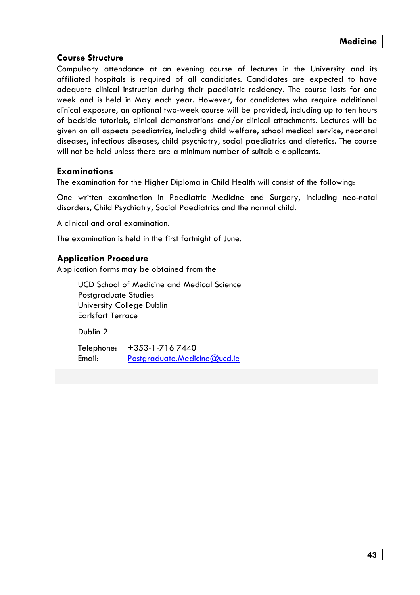### **Course Structure**

Compulsory attendance at an evening course of lectures in the University and its affiliated hospitals is reavired of all candidates. Candidates are expected to have adequate clinical instruction during their paediatric residency. The course lasts for one week and is held in May each year. However, for candidates who require additional clinical exposure, an optional two-week course will be provided, including up to ten hours of bedside tutorials, clinical demonstrations and/or clinical attachments, Lectures will be given on all aspects paediatrics, including child welfare, school medical service, neonatal diseases, infectious diseases, child psychiatry, social paediatrics and dietetics. The course will not be held unless there are a minimum number of suitable applicants.

### **Examinations**

The examination for the Higher Diploma in Child Health will consist of the following:

One written examination in Paediatric Medicine and Surgery, including neo-natal disorders, Child Psychiatry, Social Paediatrics and the normal child.

A clinical and oral examination.

The examination is held in the first fortnight of June.

### **Application Procedure**

Application forms may be obtained from the

**UCD School of Medicine and Medical Science** Postaraduate Studies University College Dublin **Farlsfort Terrace** 

Dublin<sub>2</sub>

Telephone:  $+353 - 1 - 7167440$ Email: Postgraduate.Medicine@ucd.ie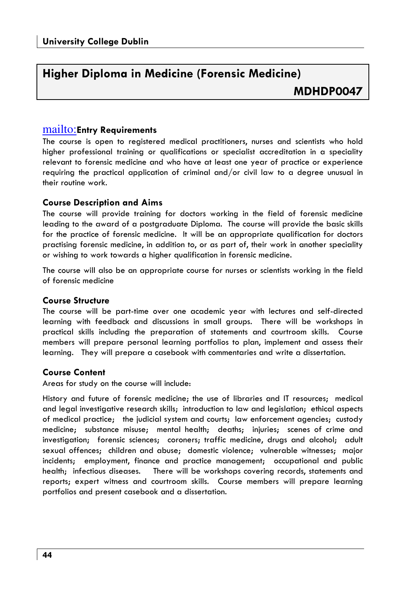# Higher Diploma in Medicine (Forensic Medicine)

### mailto: Entry Requirements

The course is open to registered medical practitioners, nurses and scientists who hold higher professional training or qualifications or specialist accreditation in a speciality relevant to forensic medicine and who have at least one year of practice or experience requiring the practical application of criminal and/or civil law to a degree unusual in their routine work.

### **Course Description and Aims**

The course will provide training for doctors working in the field of forensic medicine leading to the award of a postaraduate Diploma. The course will provide the basic skills for the practice of forensic medicine. It will be an appropriate qualification for doctors practising forensic medicine, in addition to, or as part of, their work in another speciality or wishing to work towards a higher qualification in forensic medicine.

The course will also be an appropriate course for nurses or scientists working in the field of forensic medicine

### **Course Structure**

The course will be part-time over one academic year with lectures and self-directed learning with feedback and discussions in small groups. There will be workshops in practical skills includina the preparation of statements and courtroom skills. Course members will prepare personal learning portfolios to plan, implement and assess their learning. They will prepare a casebook with commentaries and write a dissertation.

### **Course Content**

Areas for study on the course will include:

History and future of forensic medicine; the use of libraries and IT resources; medical and legal investigative research skills; introduction to law and legislation; ethical aspects of medical practice; the judicial system and courts; law enforcement agencies; custody medicine; substance misuse; mental health; deaths; injuries; scenes of crime and investigation; forensic sciences; coroners; traffic medicine, drugs and alcohol; adult sexual offences; children and abuse; domestic violence; vulnerable witnesses; major incidents; employment, finance and practice management; occupational and public health; infectious diseases. There will be workshops covering records, statements and reports; expert witness and courtroom skills. Course members will prepare learning portfolios and present casebook and a dissertation.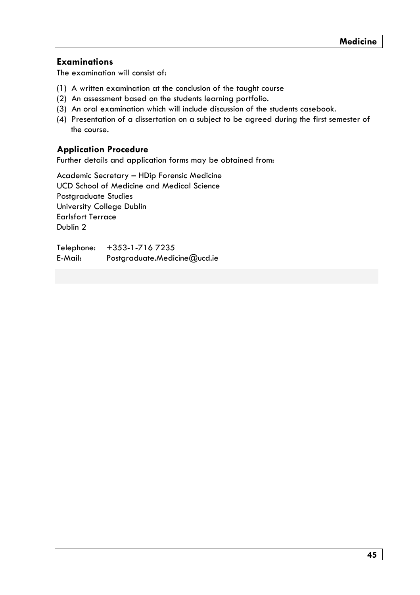### **Examinations**

The examination will consist of:

- (1) A written examination at the conclusion of the taught course
- (2) An assessment based on the students learning portfolio.
- (3) An oral examination which will include discussion of the students casebook.
- (4) Presentation of a dissertation on a subject to be agreed during the first semester of the course.

### **Application Procedure**

Further details and application forms may be obtained from:

Academic Secretary - HDip Forensic Medicine **UCD School of Medicine and Medical Science** Postaraduate Studies University College Dublin **Earlsfort Terrace** Dublin<sub>2</sub>

+353-1-716 7235 Telephone: E-Mail: Postgraduate.Medicine@ucd.ie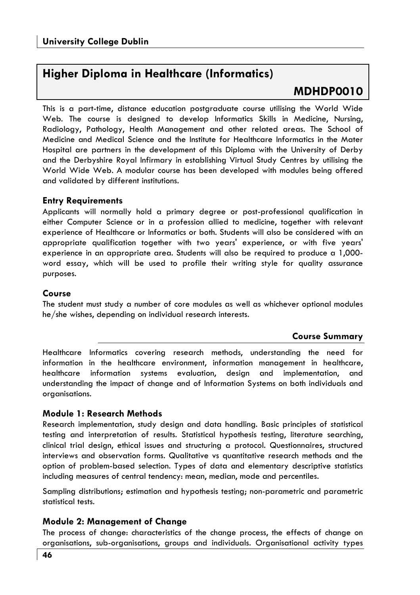### **Higher Diploma in Healthcare (Informatics)**

### MDHDP0010

This is a part-time, distance education postgraduate course utilising the World Wide Web. The course is desianed to develop Informatics Skills in Medicine. Nursina. Radiology, Pathology, Health Management and other related areas. The School of Medicine and Medical Science and the Institute for Healthcare Informatics in the Mater Hospital are partners in the development of this Diploma with the University of Derby and the Derbyshire Royal Infirmary in establishina Virtual Study Centres by utilisina the World Wide Web. A modular course has been developed with modules being offered and validated by different institutions.

### **Entry Requirements**

Applicants will normally hold a primary degree or post-professional qualification in either Computer Science or in a profession allied to medicine, together with relevant experience of Healthcare or Informatics or both. Students will also be considered with an appropriate qualification together with two years' experience, or with five years' experience in an appropriate area. Students will also be required to produce a 1,000word essay, which will be used to profile their writing style for quality assurance purposes.

### Course

The student must study a number of core modules as well as whichever optional modules he/she wishes, depending on individual research interests.

### **Course Summary**

Healthcare Informatics covering research methods, understanding the need for information in the healthcare environment, information management in healthcare, healthcare information systems evaluation, design and implementation, and understanding the impact of change and of Information Systems on both individuals and organisations.

### Module 1: Research Methods

Research implementation, study design and data handling. Basic principles of statistical testing and interpretation of results. Statistical hypothesis testing, literature searching, clinical trial design, ethical issues and structuring a protocol. Questionnaires, structured interviews and observation forms. Qualitative vs quantitative research methods and the option of problem-based selection. Types of data and elementary descriptive statistics including measures of central tendency: mean, median, mode and percentiles.

Sampling distributions; estimation and hypothesis testing; non-parametric and parametric statistical tests.

### **Module 2: Management of Change**

The process of change: characteristics of the change process, the effects of change on organisations, sub-organisations, groups and individuals. Organisational activity types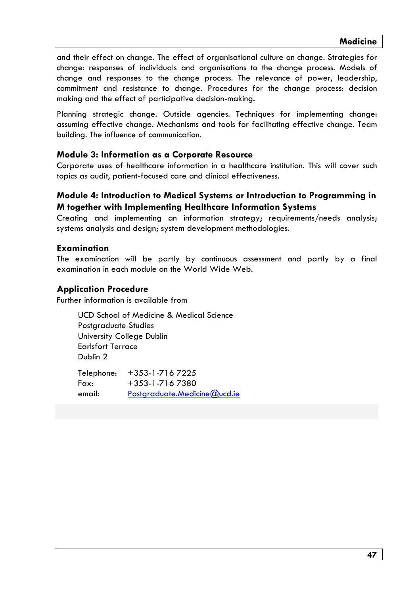and their effect on change. The effect of organisational culture on change. Strategies for change: responses of individuals and organisations to the change process. Models of change and responses to the change process. The relevance of power, leadership, commitment and resistance to change. Procedures for the change process: decision making and the effect of participative decision-making.

Planning strategic change. Outside agencies. Techniques for implementing change: assuming effective change. Mechanisms and tools for facilitating effective change. Team building. The influence of communication.

### Module 3: Information as a Corporate Resource

Corporate uses of healthcare information in a healthcare institution. This will cover such topics as audit, patient-focused care and clinical effectiveness.

### Module 4: Introduction to Medical Systems or Introduction to Programming in M together with Implementing Healthcare Information Systems

Creating and implementing an information strategy; requirements/needs analysis; systems analysis and design; system development methodologies.

### Examination

The examination will be partly by continuous assessment and partly by a final examination in each module on the World Wide Web.

### **Application Procedure**

Further information is available from

UCD School of Medicine & Medical Science Postaraduate Studies University College Dublin **Earlsfort Terrace** Dublin<sub>2</sub>

| Telephone: | +353-1-716 7225              |
|------------|------------------------------|
| Fax:       | +353-1-7167380               |
| email:     | Postgraduate.Medicine@ucd.ie |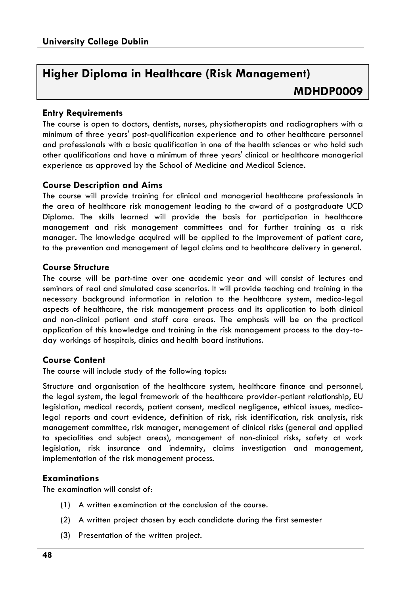### Higher Diploma in Healthcare (Risk Management) **MDHDP0009**

### **Entry Requirements**

The course is open to doctors, dentists, nurses, physiotherapists and radiographers with a minimum of three years' post-qualification experience and to other healthcare personnel and professionals with a basic qualification in one of the health sciences or who hold such other auglifications and have a minimum of three years' clinical or healthcare managerial experience as approved by the School of Medicine and Medical Science.

### **Course Description and Aims**

The course will provide training for clinical and managerial healthcare professionals in the area of healthcare risk management leading to the award of a postgraduate UCD Diploma. The skills learned will provide the basis for participation in healthcare management and risk management committees and for further training as a risk manager. The knowledge acquired will be applied to the improvement of patient care, to the prevention and management of legal claims and to healthcare delivery in general.

### **Course Structure**

The course will be part-time over one academic year and will consist of lectures and seminars of real and simulated case scenarios. It will provide teaching and training in the necessary background information in relation to the healthcare system, medico-legal aspects of healthcare, the risk management process and its application to both clinical and non-clinical patient and staff care areas. The emphasis will be on the practical application of this knowledge and training in the risk management process to the day-today workings of hospitals, clinics and health board institutions.

### **Course Content**

The course will include study of the following topics:

Structure and organisation of the healthcare system, healthcare finance and personnel, the legal system, the legal framework of the healthcare provider-patient relationship, EU legislation, medical records, patient consent, medical negligence, ethical issues, medicolegal reports and court evidence, definition of risk, risk identification, risk analysis, risk management committee, risk manager, management of clinical risks (general and applied to specialities and subject areas), management of non-clinical risks, safety at work legislation, risk insurance and indemnity, claims investigation and management, implementation of the risk management process.

### **Examinations**

The examination will consist of:

- (1) A written examination at the conclusion of the course.
- (2) A written project chosen by each candidate during the first semester
- (3) Presentation of the written project.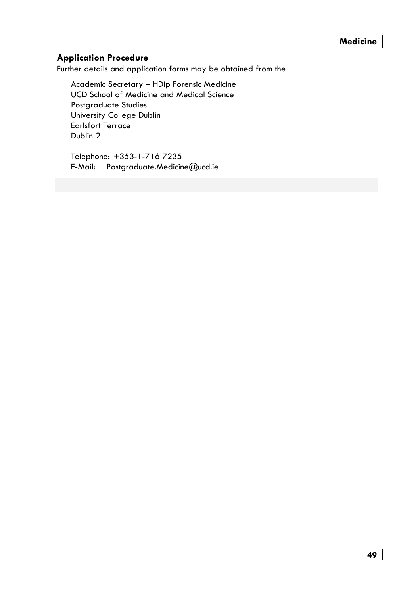### **Application Procedure**

Further details and application forms may be obtained from the

Academic Secretary - HDip Forensic Medicine UCD School of Medicine and Medical Science Postaraduate Studies University College Dublin **Earlsfort Terrace** Dublin 2

Telephone: +353-1-716 7235 E-Mail: Postgraduate.Medicine@ucd.ie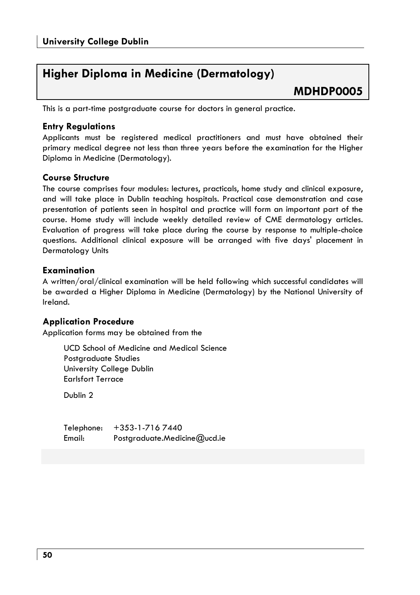### Higher Diploma in Medicine (Dermatology)

### MDHDP0005

This is a part-time postgraduate course for doctors in general practice.

### **Entry Regulations**

Applicants must be registered medical practitioners and must have obtained their primary medical degree not less than three years before the examination for the Higher Diploma in Medicine (Dermatoloay).

### **Course Structure**

The course comprises four modules: lectures, practicals, home study and clinical exposure, and will take place in Dublin teaching hospitals. Practical case demonstration and case presentation of patients seen in hospital and practice will form an important part of the course. Home study will include weekly detailed review of CME dermatology articles. Evaluation of progress will take place during the course by response to multiple-choice questions. Additional clinical exposure will be arranged with five days' placement in **Dermatology Units** 

### **Examination**

A written/oral/clinical examination will be held following which successful candidates will be awarded a Higher Diploma in Medicine (Dermatology) by the National University of Ireland.

### **Application Procedure**

Application forms may be obtained from the

UCD School of Medicine and Medical Science Postgraduate Studies University College Dublin **Farlsfort Terrace** 

Dublin<sub>2</sub>

 $+353 - 1 - 7167440$ Telephone: Email: Postgraduate.Medicine@ucd.ie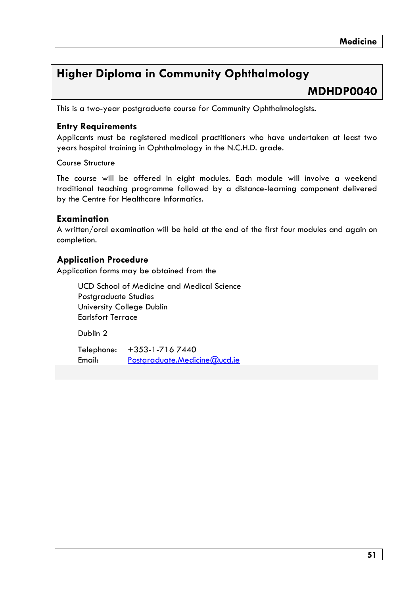### **Higher Diploma in Community Ophthalmology**

### MDHDP0040

This is a two-year postgraduate course for Community Ophthalmologists.

### **Entry Requirements**

Applicants must be registered medical practitioners who have undertaken at least two years hospital training in Ophthalmology in the N.C.H.D. grade.

Course Structure

The course will be offered in eight modules. Each module will involve a weekend traditional teaching programme followed by a distance-learning component delivered by the Centre for Healthcare Informatics.

### Examination

A written/oral examination will be held at the end of the first four modules and again on completion.

### **Application Procedure**

Application forms may be obtained from the

**UCD School of Medicine and Medical Science** Postgraduate Studies University College Dublin **Earlsfort Terrace** 

Dublin<sub>2</sub>

Telephone:  $+353 - 1 - 7167440$ **Email** Postgraduate.Medicine@ucd.ie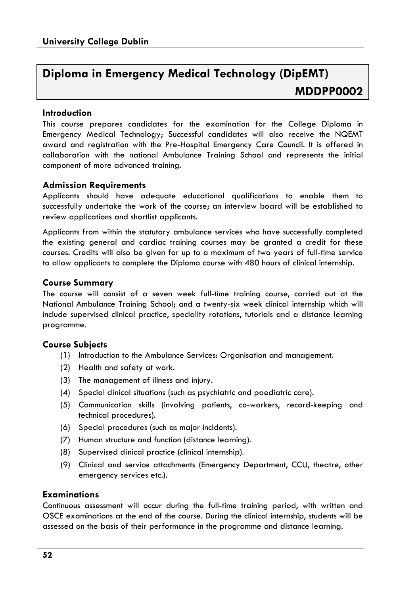### Diploma in Emergency Medical Technology (DipEMT) MDDPP0002

### Introduction

This course prepares candidates for the examination for the College Diploma in Emergency Medical Technology; Successful candidates will also receive the NQEMT award and registration with the Pre-Hospital Emergency Care Council. It is offered in collaboration with the national Ambulance Trainina School and represents the initial component of more advanced training.

### **Admission Requirements**

Applicants should have adequate educational qualifications to enable them to successfully undertake the work of the course; an interview board will be established to review applications and shortlist applicants.

Applicants from within the statutory ambulance services who have successfully completed the existing general and cardiac training courses may be granted a credit for these courses. Credits will also be given for up to a maximum of two years of full-time service to allow applicants to complete the Diploma course with 480 hours of clinical internship.

### **Course Summary**

The course will consist of a seven week full-time training course, carried out at the National Ambulance Training School; and a twenty-six week clinical internship which will include supervised clinical practice, speciality rotations, tutorials and a distance learning programme.

### **Course Subiects**

- (1) Introduction to the Ambulance Services: Organisation and management.
- (2) Health and safety at work.
- (3) The management of illness and injury.
- (4) Special clinical situations (such as psychiatric and paediatric care).
- (5) Communication skills (involving patients, co-workers, record-keeping and technical procedures).
- (6) Special procedures (such as major incidents).
- (7) Human structure and function (distance learning).
- (8) Supervised clinical practice (clinical internship).
- (9) Clinical and service attachments (Emergency Department, CCU, theatre, other emergency services etc.).

### **Examinations**

Continuous assessment will occur during the full-time training period, with written and OSCE examinations at the end of the course. During the clinical internship, students will be assessed on the basis of their performance in the programme and distance learning.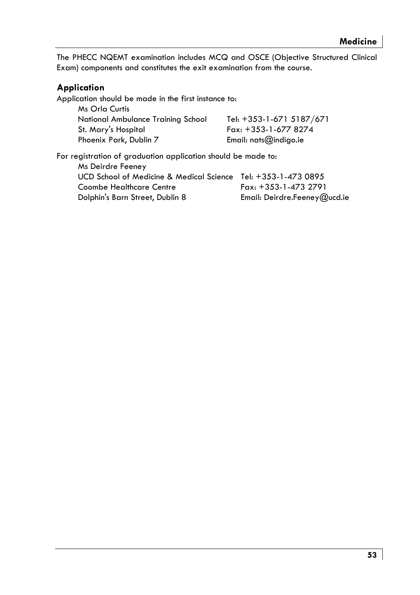The PHECC NQEMT examination includes MCQ and OSCE (Objective Structured Clinical Exam) components and constitutes the exit examination from the course.

### **Application**

Application should be made in the first instance to: Ms Orla Curtis National Ambulance Training School Tel: +353-1-671 5187/671  $Fax: +353-1-6778274$ St. Mary's Hospital Phoenix Park, Dublin 7 Email:  $nats@indigo_ie$ 

For registration of graduation application should be made to: Ms Deirdre Feeney UCD School of Medicine & Medical Science Tel: +353-1-473 0895 Coombe Healthcare Centre Fax: +353-1-473 2791 Dolphin's Barn Street, Dublin 8 Email: Deirdre.Feeney@ucd.ie